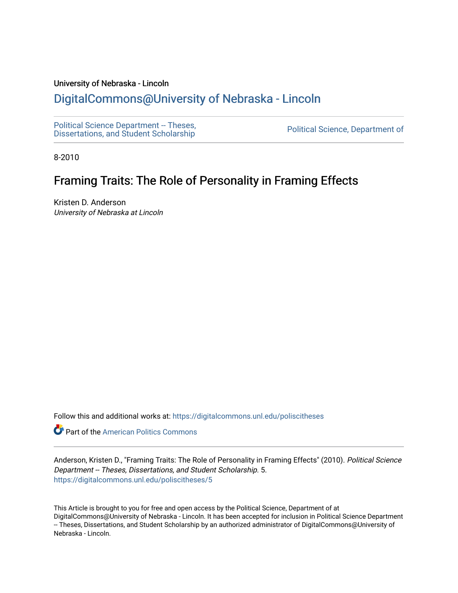## University of Nebraska - Lincoln

## [DigitalCommons@University of Nebraska - Lincoln](https://digitalcommons.unl.edu/)

[Political Science Department -- Theses,](https://digitalcommons.unl.edu/poliscitheses) Political Science Department - Theses,<br>[Dissertations, and Student Scholarship](https://digitalcommons.unl.edu/poliscitheses) Political Science, Department of

8-2010

## Framing Traits: The Role of Personality in Framing Effects

Kristen D. Anderson University of Nebraska at Lincoln

Follow this and additional works at: [https://digitalcommons.unl.edu/poliscitheses](https://digitalcommons.unl.edu/poliscitheses?utm_source=digitalcommons.unl.edu%2Fpoliscitheses%2F5&utm_medium=PDF&utm_campaign=PDFCoverPages)

**Part of the American Politics Commons** 

Anderson, Kristen D., "Framing Traits: The Role of Personality in Framing Effects" (2010). Political Science Department -- Theses, Dissertations, and Student Scholarship. 5. [https://digitalcommons.unl.edu/poliscitheses/5](https://digitalcommons.unl.edu/poliscitheses/5?utm_source=digitalcommons.unl.edu%2Fpoliscitheses%2F5&utm_medium=PDF&utm_campaign=PDFCoverPages) 

This Article is brought to you for free and open access by the Political Science, Department of at DigitalCommons@University of Nebraska - Lincoln. It has been accepted for inclusion in Political Science Department -- Theses, Dissertations, and Student Scholarship by an authorized administrator of DigitalCommons@University of Nebraska - Lincoln.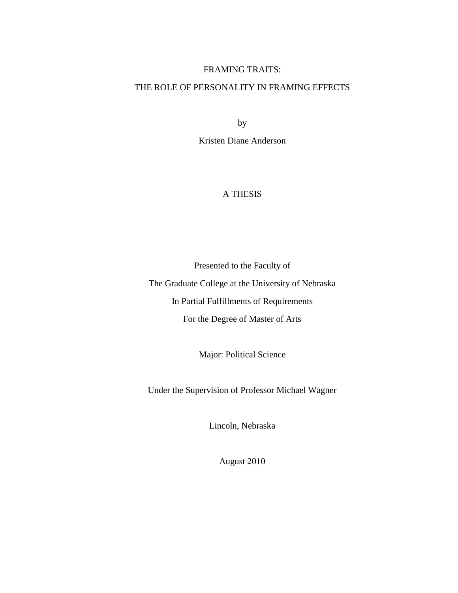## FRAMING TRAITS:

## THE ROLE OF PERSONALITY IN FRAMING EFFECTS

by

Kristen Diane Anderson

## A THESIS

Presented to the Faculty of

The Graduate College at the University of Nebraska In Partial Fulfillments of Requirements For the Degree of Master of Arts

Major: Political Science

Under the Supervision of Professor Michael Wagner

Lincoln, Nebraska

August 2010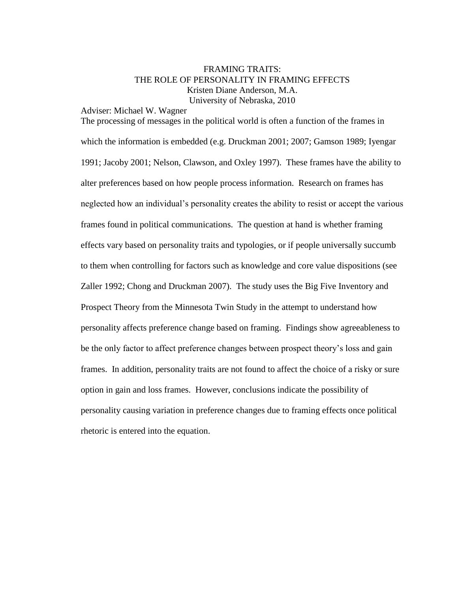## FRAMING TRAITS: THE ROLE OF PERSONALITY IN FRAMING EFFECTS Kristen Diane Anderson, M.A. University of Nebraska, 2010

Adviser: Michael W. Wagner

The processing of messages in the political world is often a function of the frames in which the information is embedded (e.g. Druckman 2001; 2007; Gamson 1989; Iyengar 1991; Jacoby 2001; Nelson, Clawson, and Oxley 1997). These frames have the ability to alter preferences based on how people process information. Research on frames has neglected how an individual"s personality creates the ability to resist or accept the various frames found in political communications. The question at hand is whether framing effects vary based on personality traits and typologies, or if people universally succumb to them when controlling for factors such as knowledge and core value dispositions (see Zaller 1992; Chong and Druckman 2007). The study uses the Big Five Inventory and Prospect Theory from the Minnesota Twin Study in the attempt to understand how personality affects preference change based on framing. Findings show agreeableness to be the only factor to affect preference changes between prospect theory"s loss and gain frames. In addition, personality traits are not found to affect the choice of a risky or sure option in gain and loss frames. However, conclusions indicate the possibility of personality causing variation in preference changes due to framing effects once political rhetoric is entered into the equation.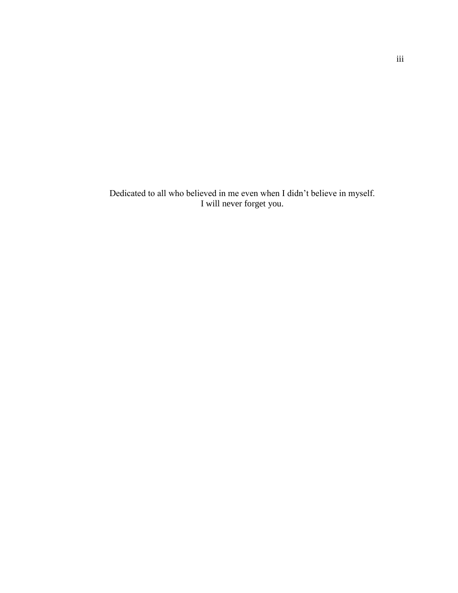Dedicated to all who believed in me even when I didn"t believe in myself. I will never forget you.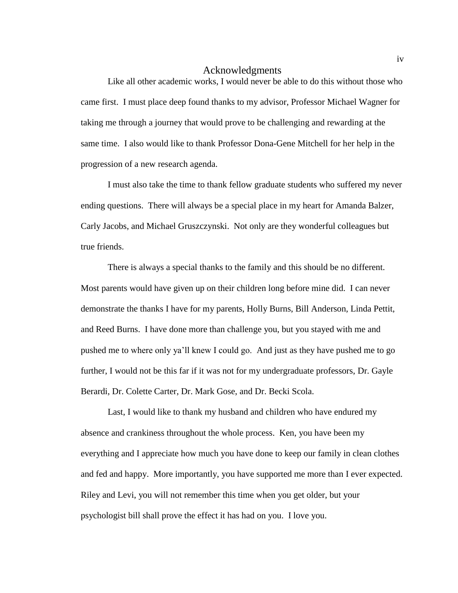## Acknowledgments

Like all other academic works, I would never be able to do this without those who came first. I must place deep found thanks to my advisor, Professor Michael Wagner for taking me through a journey that would prove to be challenging and rewarding at the same time. I also would like to thank Professor Dona-Gene Mitchell for her help in the progression of a new research agenda.

I must also take the time to thank fellow graduate students who suffered my never ending questions. There will always be a special place in my heart for Amanda Balzer, Carly Jacobs, and Michael Gruszczynski. Not only are they wonderful colleagues but true friends.

There is always a special thanks to the family and this should be no different. Most parents would have given up on their children long before mine did. I can never demonstrate the thanks I have for my parents, Holly Burns, Bill Anderson, Linda Pettit, and Reed Burns. I have done more than challenge you, but you stayed with me and pushed me to where only ya"ll knew I could go. And just as they have pushed me to go further, I would not be this far if it was not for my undergraduate professors, Dr. Gayle Berardi, Dr. Colette Carter, Dr. Mark Gose, and Dr. Becki Scola.

Last, I would like to thank my husband and children who have endured my absence and crankiness throughout the whole process. Ken, you have been my everything and I appreciate how much you have done to keep our family in clean clothes and fed and happy. More importantly, you have supported me more than I ever expected. Riley and Levi, you will not remember this time when you get older, but your psychologist bill shall prove the effect it has had on you. I love you.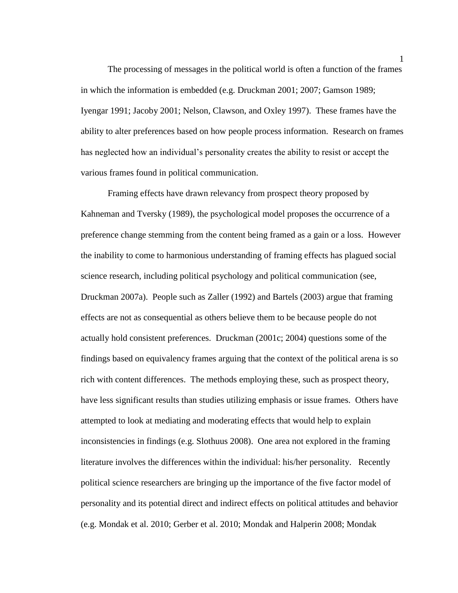The processing of messages in the political world is often a function of the frames in which the information is embedded (e.g. Druckman 2001; 2007; Gamson 1989; Iyengar 1991; Jacoby 2001; Nelson, Clawson, and Oxley 1997). These frames have the ability to alter preferences based on how people process information. Research on frames has neglected how an individual"s personality creates the ability to resist or accept the various frames found in political communication.

Framing effects have drawn relevancy from prospect theory proposed by Kahneman and Tversky (1989), the psychological model proposes the occurrence of a preference change stemming from the content being framed as a gain or a loss. However the inability to come to harmonious understanding of framing effects has plagued social science research, including political psychology and political communication (see, Druckman 2007a). People such as Zaller (1992) and Bartels (2003) argue that framing effects are not as consequential as others believe them to be because people do not actually hold consistent preferences. Druckman (2001c; 2004) questions some of the findings based on equivalency frames arguing that the context of the political arena is so rich with content differences. The methods employing these, such as prospect theory, have less significant results than studies utilizing emphasis or issue frames. Others have attempted to look at mediating and moderating effects that would help to explain inconsistencies in findings (e.g. Slothuus 2008). One area not explored in the framing literature involves the differences within the individual: his/her personality. Recently political science researchers are bringing up the importance of the five factor model of personality and its potential direct and indirect effects on political attitudes and behavior (e.g. Mondak et al. 2010; Gerber et al. 2010; Mondak and Halperin 2008; Mondak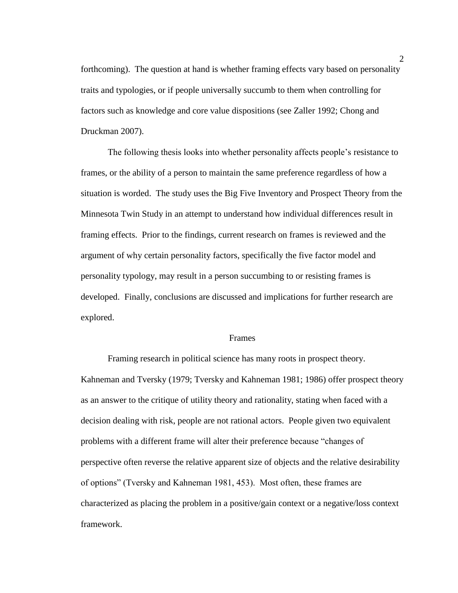forthcoming). The question at hand is whether framing effects vary based on personality traits and typologies, or if people universally succumb to them when controlling for factors such as knowledge and core value dispositions (see Zaller 1992; Chong and Druckman 2007).

The following thesis looks into whether personality affects people's resistance to frames, or the ability of a person to maintain the same preference regardless of how a situation is worded. The study uses the Big Five Inventory and Prospect Theory from the Minnesota Twin Study in an attempt to understand how individual differences result in framing effects. Prior to the findings, current research on frames is reviewed and the argument of why certain personality factors, specifically the five factor model and personality typology, may result in a person succumbing to or resisting frames is developed. Finally, conclusions are discussed and implications for further research are explored.

#### Frames

Framing research in political science has many roots in prospect theory. Kahneman and Tversky (1979; Tversky and Kahneman 1981; 1986) offer prospect theory as an answer to the critique of utility theory and rationality, stating when faced with a decision dealing with risk, people are not rational actors. People given two equivalent problems with a different frame will alter their preference because "changes of perspective often reverse the relative apparent size of objects and the relative desirability of options" (Tversky and Kahneman 1981, 453). Most often, these frames are characterized as placing the problem in a positive/gain context or a negative/loss context framework.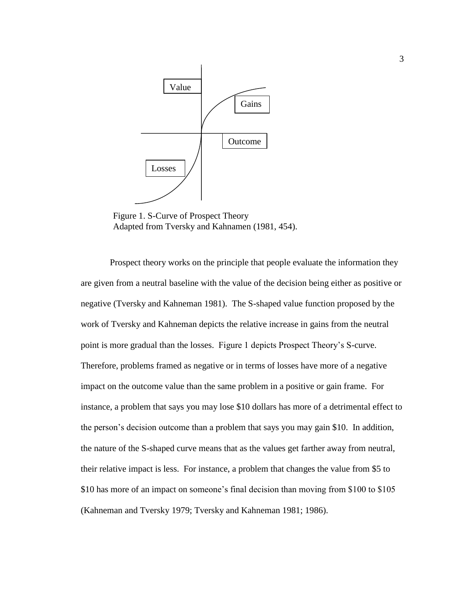

Figure 1. S-Curve of Prospect Theory Adapted from Tversky and Kahnamen (1981, 454).

Prospect theory works on the principle that people evaluate the information they are given from a neutral baseline with the value of the decision being either as positive or negative (Tversky and Kahneman 1981). The S-shaped value function proposed by the work of Tversky and Kahneman depicts the relative increase in gains from the neutral point is more gradual than the losses. Figure 1 depicts Prospect Theory"s S-curve. Therefore, problems framed as negative or in terms of losses have more of a negative impact on the outcome value than the same problem in a positive or gain frame. For instance, a problem that says you may lose \$10 dollars has more of a detrimental effect to the person"s decision outcome than a problem that says you may gain \$10. In addition, the nature of the S-shaped curve means that as the values get farther away from neutral, their relative impact is less. For instance, a problem that changes the value from \$5 to \$10 has more of an impact on someone's final decision than moving from \$100 to \$105 (Kahneman and Tversky 1979; Tversky and Kahneman 1981; 1986).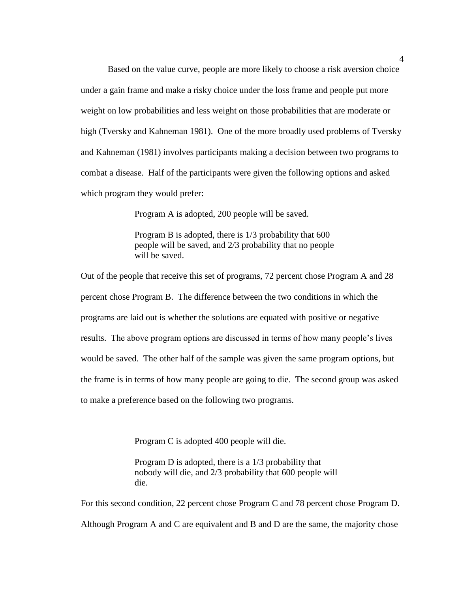Based on the value curve, people are more likely to choose a risk aversion choice under a gain frame and make a risky choice under the loss frame and people put more weight on low probabilities and less weight on those probabilities that are moderate or high (Tversky and Kahneman 1981). One of the more broadly used problems of Tversky and Kahneman (1981) involves participants making a decision between two programs to combat a disease. Half of the participants were given the following options and asked which program they would prefer:

Program A is adopted, 200 people will be saved.

Program B is adopted, there is 1/3 probability that 600 people will be saved, and 2/3 probability that no people will be saved.

Out of the people that receive this set of programs, 72 percent chose Program A and 28 percent chose Program B. The difference between the two conditions in which the programs are laid out is whether the solutions are equated with positive or negative results. The above program options are discussed in terms of how many people"s lives would be saved. The other half of the sample was given the same program options, but the frame is in terms of how many people are going to die. The second group was asked to make a preference based on the following two programs.

Program C is adopted 400 people will die.

Program D is adopted, there is a 1/3 probability that nobody will die, and 2/3 probability that 600 people will die.

For this second condition, 22 percent chose Program C and 78 percent chose Program D. Although Program A and C are equivalent and B and D are the same, the majority chose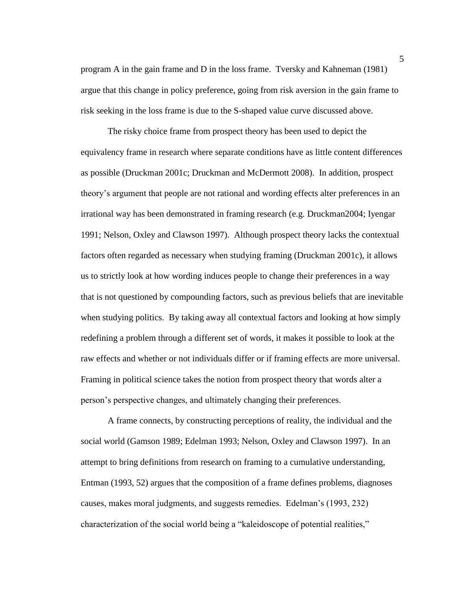program A in the gain frame and D in the loss frame. Tversky and Kahneman (1981) argue that this change in policy preference, going from risk aversion in the gain frame to risk seeking in the loss frame is due to the S-shaped value curve discussed above.

The risky choice frame from prospect theory has been used to depict the equivalency frame in research where separate conditions have as little content differences as possible (Druckman 2001c; Druckman and McDermott 2008). In addition, prospect theory"s argument that people are not rational and wording effects alter preferences in an irrational way has been demonstrated in framing research (e.g. Druckman2004; Iyengar 1991; Nelson, Oxley and Clawson 1997). Although prospect theory lacks the contextual factors often regarded as necessary when studying framing (Druckman 2001c), it allows us to strictly look at how wording induces people to change their preferences in a way that is not questioned by compounding factors, such as previous beliefs that are inevitable when studying politics. By taking away all contextual factors and looking at how simply redefining a problem through a different set of words, it makes it possible to look at the raw effects and whether or not individuals differ or if framing effects are more universal. Framing in political science takes the notion from prospect theory that words alter a person"s perspective changes, and ultimately changing their preferences.

A frame connects, by constructing perceptions of reality, the individual and the social world (Gamson 1989; Edelman 1993; Nelson, Oxley and Clawson 1997). In an attempt to bring definitions from research on framing to a cumulative understanding, Entman (1993, 52) argues that the composition of a frame defines problems, diagnoses causes, makes moral judgments, and suggests remedies. Edelman"s (1993, 232) characterization of the social world being a "kaleidoscope of potential realities,"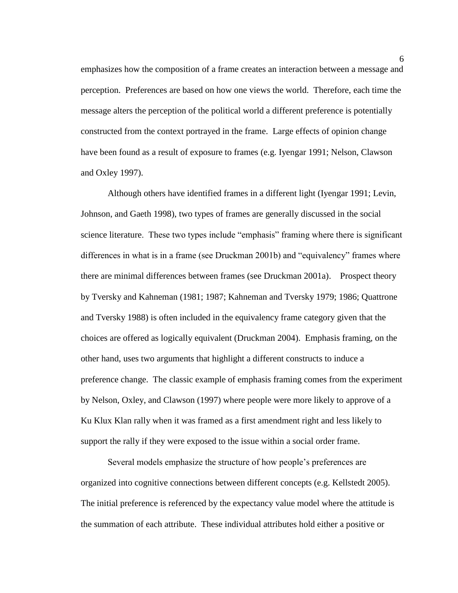emphasizes how the composition of a frame creates an interaction between a message and perception. Preferences are based on how one views the world. Therefore, each time the message alters the perception of the political world a different preference is potentially constructed from the context portrayed in the frame. Large effects of opinion change have been found as a result of exposure to frames (e.g. Iyengar 1991; Nelson, Clawson and Oxley 1997).

Although others have identified frames in a different light (Iyengar 1991; Levin, Johnson, and Gaeth 1998), two types of frames are generally discussed in the social science literature. These two types include "emphasis" framing where there is significant differences in what is in a frame (see Druckman 2001b) and "equivalency" frames where there are minimal differences between frames (see Druckman 2001a). Prospect theory by Tversky and Kahneman (1981; 1987; Kahneman and Tversky 1979; 1986; Quattrone and Tversky 1988) is often included in the equivalency frame category given that the choices are offered as logically equivalent (Druckman 2004). Emphasis framing, on the other hand, uses two arguments that highlight a different constructs to induce a preference change. The classic example of emphasis framing comes from the experiment by Nelson, Oxley, and Clawson (1997) where people were more likely to approve of a Ku Klux Klan rally when it was framed as a first amendment right and less likely to support the rally if they were exposed to the issue within a social order frame.

Several models emphasize the structure of how people"s preferences are organized into cognitive connections between different concepts (e.g. Kellstedt 2005). The initial preference is referenced by the expectancy value model where the attitude is the summation of each attribute. These individual attributes hold either a positive or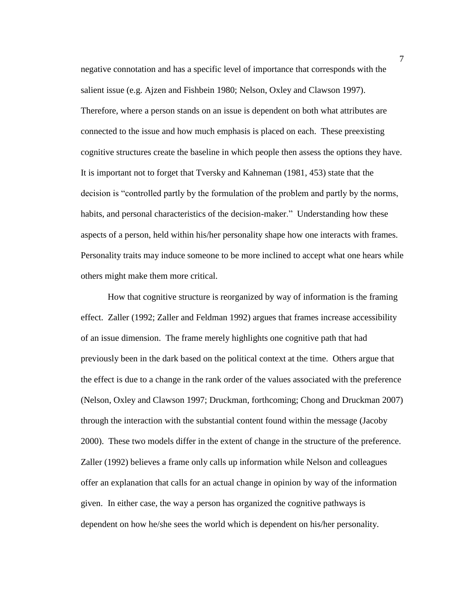negative connotation and has a specific level of importance that corresponds with the salient issue (e.g. Ajzen and Fishbein 1980; Nelson, Oxley and Clawson 1997). Therefore, where a person stands on an issue is dependent on both what attributes are connected to the issue and how much emphasis is placed on each. These preexisting cognitive structures create the baseline in which people then assess the options they have. It is important not to forget that Tversky and Kahneman (1981, 453) state that the decision is "controlled partly by the formulation of the problem and partly by the norms, habits, and personal characteristics of the decision-maker." Understanding how these aspects of a person, held within his/her personality shape how one interacts with frames. Personality traits may induce someone to be more inclined to accept what one hears while others might make them more critical.

How that cognitive structure is reorganized by way of information is the framing effect. Zaller (1992; Zaller and Feldman 1992) argues that frames increase accessibility of an issue dimension. The frame merely highlights one cognitive path that had previously been in the dark based on the political context at the time. Others argue that the effect is due to a change in the rank order of the values associated with the preference (Nelson, Oxley and Clawson 1997; Druckman, forthcoming; Chong and Druckman 2007) through the interaction with the substantial content found within the message (Jacoby 2000). These two models differ in the extent of change in the structure of the preference. Zaller (1992) believes a frame only calls up information while Nelson and colleagues offer an explanation that calls for an actual change in opinion by way of the information given. In either case, the way a person has organized the cognitive pathways is dependent on how he/she sees the world which is dependent on his/her personality.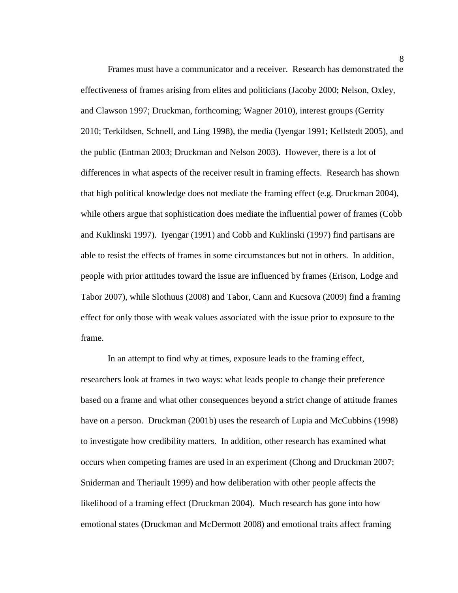Frames must have a communicator and a receiver. Research has demonstrated the effectiveness of frames arising from elites and politicians (Jacoby 2000; Nelson, Oxley, and Clawson 1997; Druckman, forthcoming; Wagner 2010), interest groups (Gerrity 2010; Terkildsen, Schnell, and Ling 1998), the media (Iyengar 1991; Kellstedt 2005), and the public (Entman 2003; Druckman and Nelson 2003). However, there is a lot of differences in what aspects of the receiver result in framing effects. Research has shown that high political knowledge does not mediate the framing effect (e.g. Druckman 2004), while others argue that sophistication does mediate the influential power of frames (Cobb and Kuklinski 1997). Iyengar (1991) and Cobb and Kuklinski (1997) find partisans are able to resist the effects of frames in some circumstances but not in others. In addition, people with prior attitudes toward the issue are influenced by frames (Erison, Lodge and Tabor 2007), while Slothuus (2008) and Tabor, Cann and Kucsova (2009) find a framing effect for only those with weak values associated with the issue prior to exposure to the frame.

In an attempt to find why at times, exposure leads to the framing effect, researchers look at frames in two ways: what leads people to change their preference based on a frame and what other consequences beyond a strict change of attitude frames have on a person. Druckman (2001b) uses the research of Lupia and McCubbins (1998) to investigate how credibility matters. In addition, other research has examined what occurs when competing frames are used in an experiment (Chong and Druckman 2007; Sniderman and Theriault 1999) and how deliberation with other people affects the likelihood of a framing effect (Druckman 2004). Much research has gone into how emotional states (Druckman and McDermott 2008) and emotional traits affect framing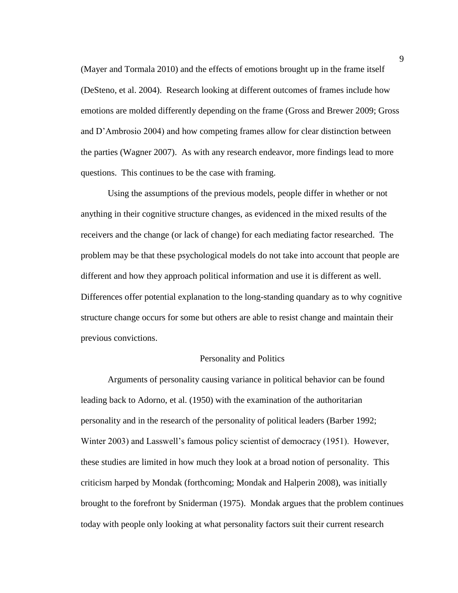(Mayer and Tormala 2010) and the effects of emotions brought up in the frame itself (DeSteno, et al. 2004). Research looking at different outcomes of frames include how emotions are molded differently depending on the frame (Gross and Brewer 2009; Gross and D"Ambrosio 2004) and how competing frames allow for clear distinction between the parties (Wagner 2007). As with any research endeavor, more findings lead to more questions. This continues to be the case with framing.

Using the assumptions of the previous models, people differ in whether or not anything in their cognitive structure changes, as evidenced in the mixed results of the receivers and the change (or lack of change) for each mediating factor researched. The problem may be that these psychological models do not take into account that people are different and how they approach political information and use it is different as well. Differences offer potential explanation to the long-standing quandary as to why cognitive structure change occurs for some but others are able to resist change and maintain their previous convictions.

## Personality and Politics

Arguments of personality causing variance in political behavior can be found leading back to Adorno, et al. (1950) with the examination of the authoritarian personality and in the research of the personality of political leaders (Barber 1992; Winter 2003) and Lasswell"s famous policy scientist of democracy (1951). However, these studies are limited in how much they look at a broad notion of personality. This criticism harped by Mondak (forthcoming; Mondak and Halperin 2008), was initially brought to the forefront by Sniderman (1975). Mondak argues that the problem continues today with people only looking at what personality factors suit their current research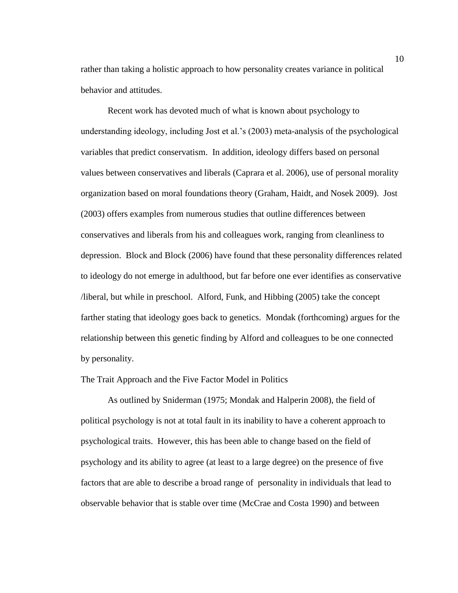rather than taking a holistic approach to how personality creates variance in political behavior and attitudes.

Recent work has devoted much of what is known about psychology to understanding ideology, including Jost et al."s (2003) meta-analysis of the psychological variables that predict conservatism. In addition, ideology differs based on personal values between conservatives and liberals (Caprara et al. 2006), use of personal morality organization based on moral foundations theory (Graham, Haidt, and Nosek 2009). Jost (2003) offers examples from numerous studies that outline differences between conservatives and liberals from his and colleagues work, ranging from cleanliness to depression. Block and Block (2006) have found that these personality differences related to ideology do not emerge in adulthood, but far before one ever identifies as conservative /liberal, but while in preschool. Alford, Funk, and Hibbing (2005) take the concept farther stating that ideology goes back to genetics. Mondak (forthcoming) argues for the relationship between this genetic finding by Alford and colleagues to be one connected by personality.

## The Trait Approach and the Five Factor Model in Politics

As outlined by Sniderman (1975; Mondak and Halperin 2008), the field of political psychology is not at total fault in its inability to have a coherent approach to psychological traits. However, this has been able to change based on the field of psychology and its ability to agree (at least to a large degree) on the presence of five factors that are able to describe a broad range of personality in individuals that lead to observable behavior that is stable over time (McCrae and Costa 1990) and between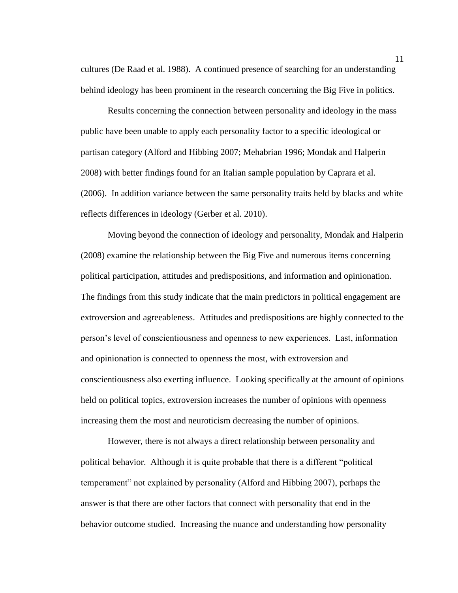cultures (De Raad et al. 1988). A continued presence of searching for an understanding behind ideology has been prominent in the research concerning the Big Five in politics.

Results concerning the connection between personality and ideology in the mass public have been unable to apply each personality factor to a specific ideological or partisan category (Alford and Hibbing 2007; Mehabrian 1996; Mondak and Halperin 2008) with better findings found for an Italian sample population by Caprara et al. (2006). In addition variance between the same personality traits held by blacks and white reflects differences in ideology (Gerber et al. 2010).

Moving beyond the connection of ideology and personality, Mondak and Halperin (2008) examine the relationship between the Big Five and numerous items concerning political participation, attitudes and predispositions, and information and opinionation. The findings from this study indicate that the main predictors in political engagement are extroversion and agreeableness. Attitudes and predispositions are highly connected to the person"s level of conscientiousness and openness to new experiences. Last, information and opinionation is connected to openness the most, with extroversion and conscientiousness also exerting influence. Looking specifically at the amount of opinions held on political topics, extroversion increases the number of opinions with openness increasing them the most and neuroticism decreasing the number of opinions.

However, there is not always a direct relationship between personality and political behavior. Although it is quite probable that there is a different "political temperament" not explained by personality (Alford and Hibbing 2007), perhaps the answer is that there are other factors that connect with personality that end in the behavior outcome studied. Increasing the nuance and understanding how personality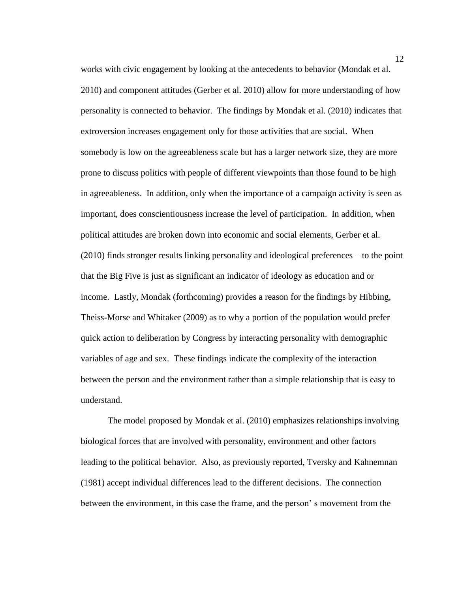works with civic engagement by looking at the antecedents to behavior (Mondak et al. 2010) and component attitudes (Gerber et al. 2010) allow for more understanding of how personality is connected to behavior. The findings by Mondak et al. (2010) indicates that extroversion increases engagement only for those activities that are social. When somebody is low on the agreeableness scale but has a larger network size, they are more prone to discuss politics with people of different viewpoints than those found to be high in agreeableness. In addition, only when the importance of a campaign activity is seen as important, does conscientiousness increase the level of participation. In addition, when political attitudes are broken down into economic and social elements, Gerber et al. (2010) finds stronger results linking personality and ideological preferences – to the point that the Big Five is just as significant an indicator of ideology as education and or income. Lastly, Mondak (forthcoming) provides a reason for the findings by Hibbing, Theiss-Morse and Whitaker (2009) as to why a portion of the population would prefer quick action to deliberation by Congress by interacting personality with demographic variables of age and sex. These findings indicate the complexity of the interaction between the person and the environment rather than a simple relationship that is easy to understand.

The model proposed by Mondak et al. (2010) emphasizes relationships involving biological forces that are involved with personality, environment and other factors leading to the political behavior. Also, as previously reported, Tversky and Kahnemnan (1981) accept individual differences lead to the different decisions. The connection between the environment, in this case the frame, and the person" s movement from the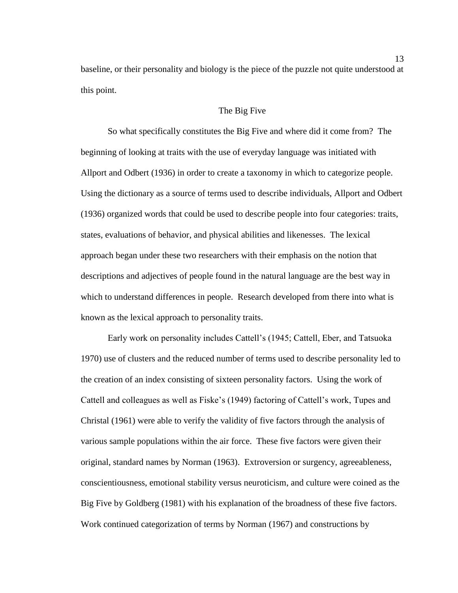baseline, or their personality and biology is the piece of the puzzle not quite understood at this point.

## The Big Five

So what specifically constitutes the Big Five and where did it come from? The beginning of looking at traits with the use of everyday language was initiated with Allport and Odbert (1936) in order to create a taxonomy in which to categorize people. Using the dictionary as a source of terms used to describe individuals, Allport and Odbert (1936) organized words that could be used to describe people into four categories: traits, states, evaluations of behavior, and physical abilities and likenesses. The lexical approach began under these two researchers with their emphasis on the notion that descriptions and adjectives of people found in the natural language are the best way in which to understand differences in people. Research developed from there into what is known as the lexical approach to personality traits.

Early work on personality includes Cattell"s (1945; Cattell, Eber, and Tatsuoka 1970) use of clusters and the reduced number of terms used to describe personality led to the creation of an index consisting of sixteen personality factors. Using the work of Cattell and colleagues as well as Fiske"s (1949) factoring of Cattell"s work, Tupes and Christal (1961) were able to verify the validity of five factors through the analysis of various sample populations within the air force. These five factors were given their original, standard names by Norman (1963). Extroversion or surgency, agreeableness, conscientiousness, emotional stability versus neuroticism, and culture were coined as the Big Five by Goldberg (1981) with his explanation of the broadness of these five factors. Work continued categorization of terms by Norman (1967) and constructions by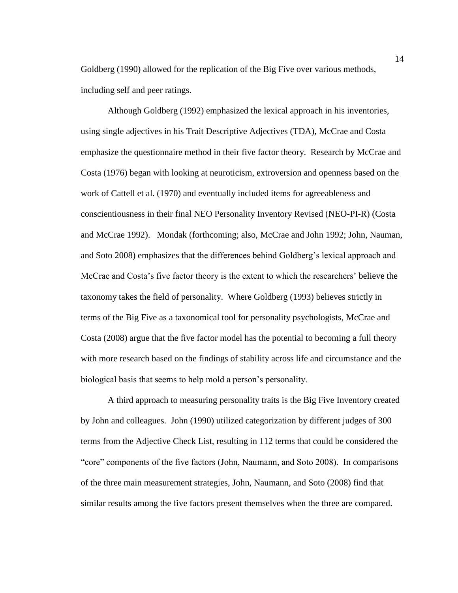Goldberg (1990) allowed for the replication of the Big Five over various methods, including self and peer ratings.

Although Goldberg (1992) emphasized the lexical approach in his inventories, using single adjectives in his Trait Descriptive Adjectives (TDA), McCrae and Costa emphasize the questionnaire method in their five factor theory. Research by McCrae and Costa (1976) began with looking at neuroticism, extroversion and openness based on the work of Cattell et al. (1970) and eventually included items for agreeableness and conscientiousness in their final NEO Personality Inventory Revised (NEO-PI-R) (Costa and McCrae 1992). Mondak (forthcoming; also, McCrae and John 1992; John, Nauman, and Soto 2008) emphasizes that the differences behind Goldberg"s lexical approach and McCrae and Costa's five factor theory is the extent to which the researchers' believe the taxonomy takes the field of personality. Where Goldberg (1993) believes strictly in terms of the Big Five as a taxonomical tool for personality psychologists, McCrae and Costa (2008) argue that the five factor model has the potential to becoming a full theory with more research based on the findings of stability across life and circumstance and the biological basis that seems to help mold a person"s personality.

A third approach to measuring personality traits is the Big Five Inventory created by John and colleagues. John (1990) utilized categorization by different judges of 300 terms from the Adjective Check List, resulting in 112 terms that could be considered the "core" components of the five factors (John, Naumann, and Soto 2008). In comparisons of the three main measurement strategies, John, Naumann, and Soto (2008) find that similar results among the five factors present themselves when the three are compared.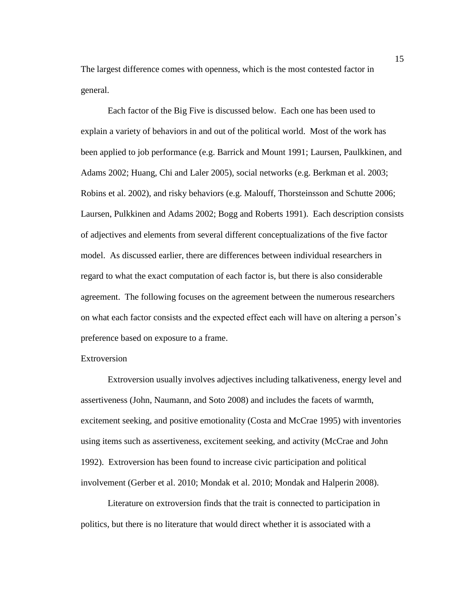The largest difference comes with openness, which is the most contested factor in general.

Each factor of the Big Five is discussed below. Each one has been used to explain a variety of behaviors in and out of the political world. Most of the work has been applied to job performance (e.g. Barrick and Mount 1991; Laursen, Paulkkinen, and Adams 2002; Huang, Chi and Laler 2005), social networks (e.g. Berkman et al. 2003; Robins et al. 2002), and risky behaviors (e.g. Malouff, Thorsteinsson and Schutte 2006; Laursen, Pulkkinen and Adams 2002; Bogg and Roberts 1991). Each description consists of adjectives and elements from several different conceptualizations of the five factor model. As discussed earlier, there are differences between individual researchers in regard to what the exact computation of each factor is, but there is also considerable agreement. The following focuses on the agreement between the numerous researchers on what each factor consists and the expected effect each will have on altering a person"s preference based on exposure to a frame.

## **Extroversion**

Extroversion usually involves adjectives including talkativeness, energy level and assertiveness (John, Naumann, and Soto 2008) and includes the facets of warmth, excitement seeking, and positive emotionality (Costa and McCrae 1995) with inventories using items such as assertiveness, excitement seeking, and activity (McCrae and John 1992). Extroversion has been found to increase civic participation and political involvement (Gerber et al. 2010; Mondak et al. 2010; Mondak and Halperin 2008).

Literature on extroversion finds that the trait is connected to participation in politics, but there is no literature that would direct whether it is associated with a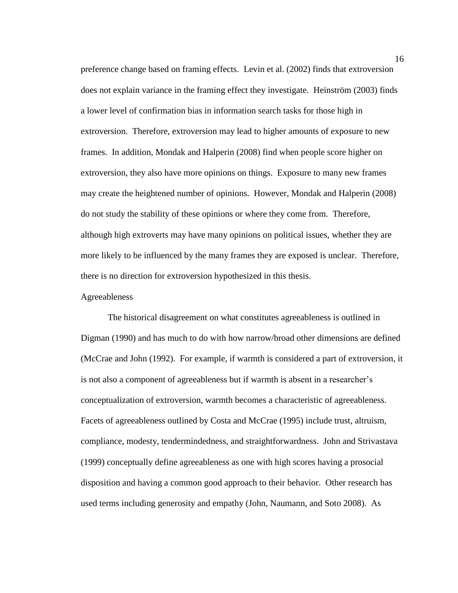preference change based on framing effects. Levin et al. (2002) finds that extroversion does not explain variance in the framing effect they investigate. Heinström (2003) finds a lower level of confirmation bias in information search tasks for those high in extroversion. Therefore, extroversion may lead to higher amounts of exposure to new frames. In addition, Mondak and Halperin (2008) find when people score higher on extroversion, they also have more opinions on things. Exposure to many new frames may create the heightened number of opinions. However, Mondak and Halperin (2008) do not study the stability of these opinions or where they come from. Therefore, although high extroverts may have many opinions on political issues, whether they are more likely to be influenced by the many frames they are exposed is unclear. Therefore, there is no direction for extroversion hypothesized in this thesis.

## Agreeableness

The historical disagreement on what constitutes agreeableness is outlined in Digman (1990) and has much to do with how narrow/broad other dimensions are defined (McCrae and John (1992). For example, if warmth is considered a part of extroversion, it is not also a component of agreeableness but if warmth is absent in a researcher"s conceptualization of extroversion, warmth becomes a characteristic of agreeableness. Facets of agreeableness outlined by Costa and McCrae (1995) include trust, altruism, compliance, modesty, tendermindedness, and straightforwardness. John and Strivastava (1999) conceptually define agreeableness as one with high scores having a prosocial disposition and having a common good approach to their behavior. Other research has used terms including generosity and empathy (John, Naumann, and Soto 2008). As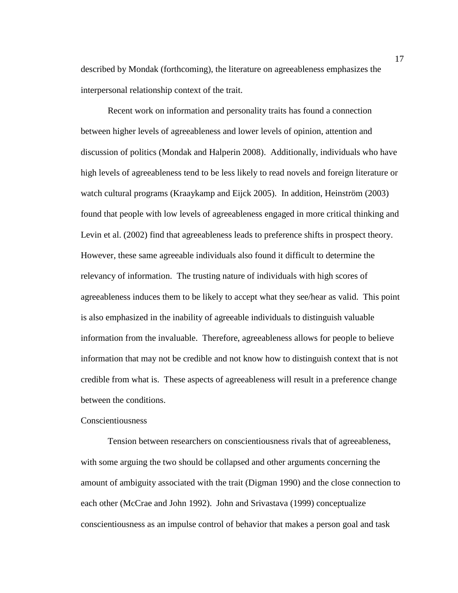described by Mondak (forthcoming), the literature on agreeableness emphasizes the interpersonal relationship context of the trait.

Recent work on information and personality traits has found a connection between higher levels of agreeableness and lower levels of opinion, attention and discussion of politics (Mondak and Halperin 2008). Additionally, individuals who have high levels of agreeableness tend to be less likely to read novels and foreign literature or watch cultural programs (Kraaykamp and Eijck 2005). In addition, Heinström (2003) found that people with low levels of agreeableness engaged in more critical thinking and Levin et al. (2002) find that agreeableness leads to preference shifts in prospect theory. However, these same agreeable individuals also found it difficult to determine the relevancy of information. The trusting nature of individuals with high scores of agreeableness induces them to be likely to accept what they see/hear as valid. This point is also emphasized in the inability of agreeable individuals to distinguish valuable information from the invaluable. Therefore, agreeableness allows for people to believe information that may not be credible and not know how to distinguish context that is not credible from what is. These aspects of agreeableness will result in a preference change between the conditions.

#### Conscientiousness

Tension between researchers on conscientiousness rivals that of agreeableness, with some arguing the two should be collapsed and other arguments concerning the amount of ambiguity associated with the trait (Digman 1990) and the close connection to each other (McCrae and John 1992). John and Srivastava (1999) conceptualize conscientiousness as an impulse control of behavior that makes a person goal and task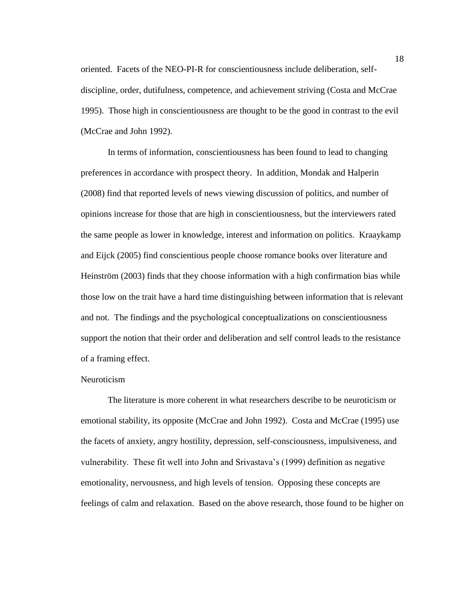oriented. Facets of the NEO-PI-R for conscientiousness include deliberation, selfdiscipline, order, dutifulness, competence, and achievement striving (Costa and McCrae 1995). Those high in conscientiousness are thought to be the good in contrast to the evil (McCrae and John 1992).

In terms of information, conscientiousness has been found to lead to changing preferences in accordance with prospect theory. In addition, Mondak and Halperin (2008) find that reported levels of news viewing discussion of politics, and number of opinions increase for those that are high in conscientiousness, but the interviewers rated the same people as lower in knowledge, interest and information on politics. Kraaykamp and Eijck (2005) find conscientious people choose romance books over literature and Heinström (2003) finds that they choose information with a high confirmation bias while those low on the trait have a hard time distinguishing between information that is relevant and not. The findings and the psychological conceptualizations on conscientiousness support the notion that their order and deliberation and self control leads to the resistance of a framing effect.

## Neuroticism

The literature is more coherent in what researchers describe to be neuroticism or emotional stability, its opposite (McCrae and John 1992). Costa and McCrae (1995) use the facets of anxiety, angry hostility, depression, self-consciousness, impulsiveness, and vulnerability. These fit well into John and Srivastava"s (1999) definition as negative emotionality, nervousness, and high levels of tension. Opposing these concepts are feelings of calm and relaxation. Based on the above research, those found to be higher on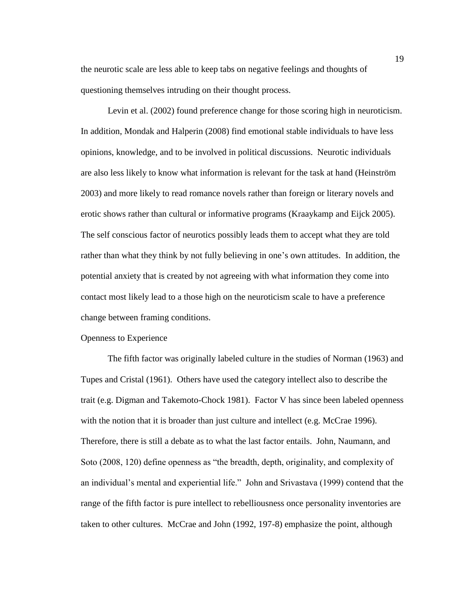the neurotic scale are less able to keep tabs on negative feelings and thoughts of questioning themselves intruding on their thought process.

Levin et al. (2002) found preference change for those scoring high in neuroticism. In addition, Mondak and Halperin (2008) find emotional stable individuals to have less opinions, knowledge, and to be involved in political discussions. Neurotic individuals are also less likely to know what information is relevant for the task at hand (Heinström 2003) and more likely to read romance novels rather than foreign or literary novels and erotic shows rather than cultural or informative programs (Kraaykamp and Eijck 2005). The self conscious factor of neurotics possibly leads them to accept what they are told rather than what they think by not fully believing in one's own attitudes. In addition, the potential anxiety that is created by not agreeing with what information they come into contact most likely lead to a those high on the neuroticism scale to have a preference change between framing conditions.

#### Openness to Experience

The fifth factor was originally labeled culture in the studies of Norman (1963) and Tupes and Cristal (1961). Others have used the category intellect also to describe the trait (e.g. Digman and Takemoto-Chock 1981). Factor V has since been labeled openness with the notion that it is broader than just culture and intellect (e.g. McCrae 1996). Therefore, there is still a debate as to what the last factor entails. John, Naumann, and Soto (2008, 120) define openness as "the breadth, depth, originality, and complexity of an individual"s mental and experiential life." John and Srivastava (1999) contend that the range of the fifth factor is pure intellect to rebelliousness once personality inventories are taken to other cultures. McCrae and John (1992, 197-8) emphasize the point, although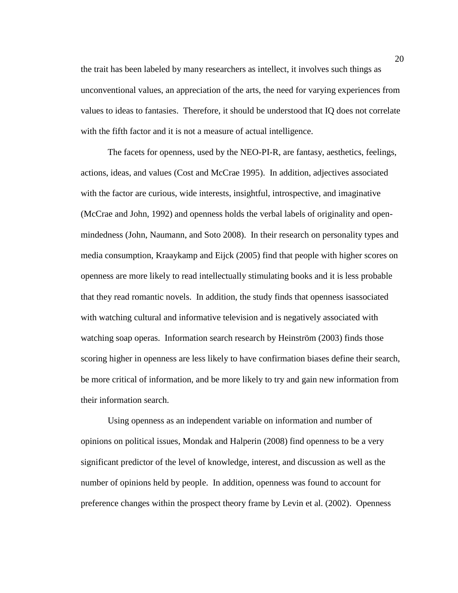the trait has been labeled by many researchers as intellect, it involves such things as unconventional values, an appreciation of the arts, the need for varying experiences from values to ideas to fantasies. Therefore, it should be understood that IQ does not correlate with the fifth factor and it is not a measure of actual intelligence.

The facets for openness, used by the NEO-PI-R, are fantasy, aesthetics, feelings, actions, ideas, and values (Cost and McCrae 1995). In addition, adjectives associated with the factor are curious, wide interests, insightful, introspective, and imaginative (McCrae and John, 1992) and openness holds the verbal labels of originality and openmindedness (John, Naumann, and Soto 2008). In their research on personality types and media consumption, Kraaykamp and Eijck (2005) find that people with higher scores on openness are more likely to read intellectually stimulating books and it is less probable that they read romantic novels. In addition, the study finds that openness isassociated with watching cultural and informative television and is negatively associated with watching soap operas. Information search research by Heinström (2003) finds those scoring higher in openness are less likely to have confirmation biases define their search, be more critical of information, and be more likely to try and gain new information from their information search.

Using openness as an independent variable on information and number of opinions on political issues, Mondak and Halperin (2008) find openness to be a very significant predictor of the level of knowledge, interest, and discussion as well as the number of opinions held by people. In addition, openness was found to account for preference changes within the prospect theory frame by Levin et al. (2002). Openness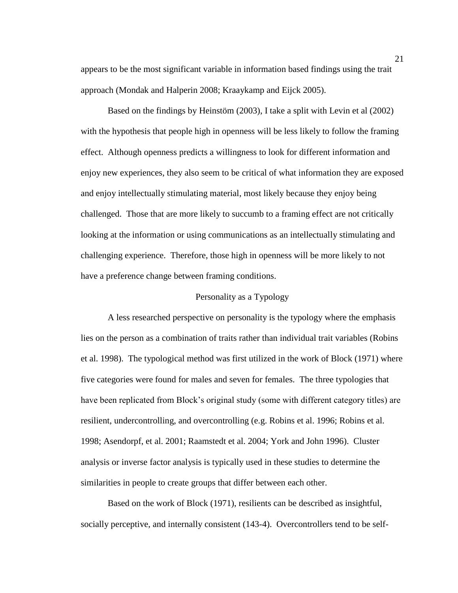appears to be the most significant variable in information based findings using the trait approach (Mondak and Halperin 2008; Kraaykamp and Eijck 2005).

Based on the findings by Heinstöm (2003), I take a split with Levin et al (2002) with the hypothesis that people high in openness will be less likely to follow the framing effect. Although openness predicts a willingness to look for different information and enjoy new experiences, they also seem to be critical of what information they are exposed and enjoy intellectually stimulating material, most likely because they enjoy being challenged. Those that are more likely to succumb to a framing effect are not critically looking at the information or using communications as an intellectually stimulating and challenging experience. Therefore, those high in openness will be more likely to not have a preference change between framing conditions.

## Personality as a Typology

A less researched perspective on personality is the typology where the emphasis lies on the person as a combination of traits rather than individual trait variables (Robins et al. 1998). The typological method was first utilized in the work of Block (1971) where five categories were found for males and seven for females. The three typologies that have been replicated from Block's original study (some with different category titles) are resilient, undercontrolling, and overcontrolling (e.g. Robins et al. 1996; Robins et al. 1998; Asendorpf, et al. 2001; Raamstedt et al. 2004; York and John 1996). Cluster analysis or inverse factor analysis is typically used in these studies to determine the similarities in people to create groups that differ between each other.

Based on the work of Block (1971), resilients can be described as insightful, socially perceptive, and internally consistent (143-4). Overcontrollers tend to be self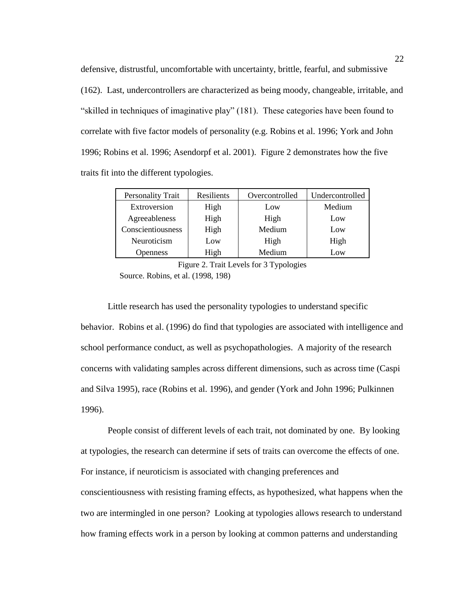defensive, distrustful, uncomfortable with uncertainty, brittle, fearful, and submissive (162). Last, undercontrollers are characterized as being moody, changeable, irritable, and "skilled in techniques of imaginative play" (181). These categories have been found to correlate with five factor models of personality (e.g. Robins et al. 1996; York and John 1996; Robins et al. 1996; Asendorpf et al. 2001). Figure 2 demonstrates how the five traits fit into the different typologies.

| <b>Personality Trait</b> | Resilients | Overcontrolled | Undercontrolled |
|--------------------------|------------|----------------|-----------------|
| Extroversion             | High       | Low            | Medium          |
| Agreeableness            | High       | High           | Low             |
| Conscientiousness        | High       | Medium         | Low             |
| Neuroticism              | Low        | High           | High            |
| <b>Openness</b>          | High       | Medium         | Low             |

Figure 2. Trait Levels for 3 Typologies Source. Robins, et al. (1998, 198)

Little research has used the personality typologies to understand specific behavior. Robins et al. (1996) do find that typologies are associated with intelligence and school performance conduct, as well as psychopathologies. A majority of the research concerns with validating samples across different dimensions, such as across time (Caspi and Silva 1995), race (Robins et al. 1996), and gender (York and John 1996; Pulkinnen 1996).

People consist of different levels of each trait, not dominated by one. By looking at typologies, the research can determine if sets of traits can overcome the effects of one. For instance, if neuroticism is associated with changing preferences and conscientiousness with resisting framing effects, as hypothesized, what happens when the two are intermingled in one person? Looking at typologies allows research to understand how framing effects work in a person by looking at common patterns and understanding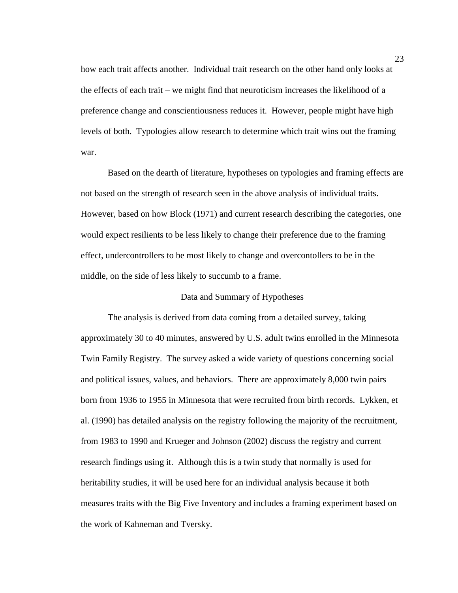how each trait affects another. Individual trait research on the other hand only looks at the effects of each trait – we might find that neuroticism increases the likelihood of a preference change and conscientiousness reduces it. However, people might have high levels of both. Typologies allow research to determine which trait wins out the framing war.

Based on the dearth of literature, hypotheses on typologies and framing effects are not based on the strength of research seen in the above analysis of individual traits. However, based on how Block (1971) and current research describing the categories, one would expect resilients to be less likely to change their preference due to the framing effect, undercontrollers to be most likely to change and overcontollers to be in the middle, on the side of less likely to succumb to a frame.

## Data and Summary of Hypotheses

The analysis is derived from data coming from a detailed survey, taking approximately 30 to 40 minutes, answered by U.S. adult twins enrolled in the Minnesota Twin Family Registry. The survey asked a wide variety of questions concerning social and political issues, values, and behaviors. There are approximately 8,000 twin pairs born from 1936 to 1955 in Minnesota that were recruited from birth records. Lykken, et al. (1990) has detailed analysis on the registry following the majority of the recruitment, from 1983 to 1990 and Krueger and Johnson (2002) discuss the registry and current research findings using it. Although this is a twin study that normally is used for heritability studies, it will be used here for an individual analysis because it both measures traits with the Big Five Inventory and includes a framing experiment based on the work of Kahneman and Tversky.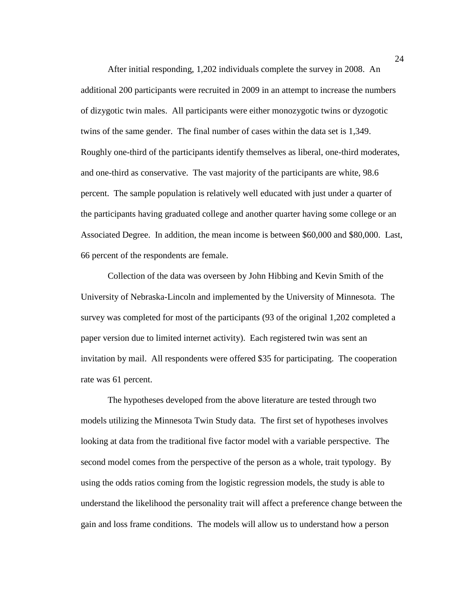After initial responding, 1,202 individuals complete the survey in 2008. An additional 200 participants were recruited in 2009 in an attempt to increase the numbers of dizygotic twin males. All participants were either monozygotic twins or dyzogotic twins of the same gender. The final number of cases within the data set is 1,349. Roughly one-third of the participants identify themselves as liberal, one-third moderates, and one-third as conservative. The vast majority of the participants are white, 98.6 percent. The sample population is relatively well educated with just under a quarter of the participants having graduated college and another quarter having some college or an Associated Degree. In addition, the mean income is between \$60,000 and \$80,000. Last, 66 percent of the respondents are female.

Collection of the data was overseen by John Hibbing and Kevin Smith of the University of Nebraska-Lincoln and implemented by the University of Minnesota. The survey was completed for most of the participants (93 of the original 1,202 completed a paper version due to limited internet activity). Each registered twin was sent an invitation by mail. All respondents were offered \$35 for participating. The cooperation rate was 61 percent.

The hypotheses developed from the above literature are tested through two models utilizing the Minnesota Twin Study data. The first set of hypotheses involves looking at data from the traditional five factor model with a variable perspective. The second model comes from the perspective of the person as a whole, trait typology. By using the odds ratios coming from the logistic regression models, the study is able to understand the likelihood the personality trait will affect a preference change between the gain and loss frame conditions. The models will allow us to understand how a person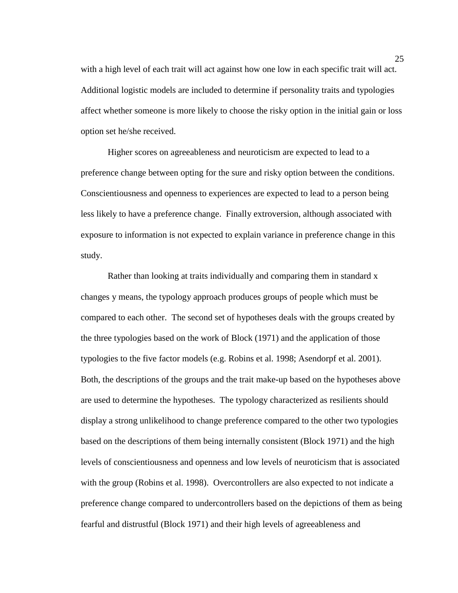with a high level of each trait will act against how one low in each specific trait will act. Additional logistic models are included to determine if personality traits and typologies affect whether someone is more likely to choose the risky option in the initial gain or loss option set he/she received.

Higher scores on agreeableness and neuroticism are expected to lead to a preference change between opting for the sure and risky option between the conditions. Conscientiousness and openness to experiences are expected to lead to a person being less likely to have a preference change. Finally extroversion, although associated with exposure to information is not expected to explain variance in preference change in this study.

Rather than looking at traits individually and comparing them in standard x changes y means, the typology approach produces groups of people which must be compared to each other. The second set of hypotheses deals with the groups created by the three typologies based on the work of Block (1971) and the application of those typologies to the five factor models (e.g. Robins et al. 1998; Asendorpf et al. 2001). Both, the descriptions of the groups and the trait make-up based on the hypotheses above are used to determine the hypotheses. The typology characterized as resilients should display a strong unlikelihood to change preference compared to the other two typologies based on the descriptions of them being internally consistent (Block 1971) and the high levels of conscientiousness and openness and low levels of neuroticism that is associated with the group (Robins et al. 1998). Overcontrollers are also expected to not indicate a preference change compared to undercontrollers based on the depictions of them as being fearful and distrustful (Block 1971) and their high levels of agreeableness and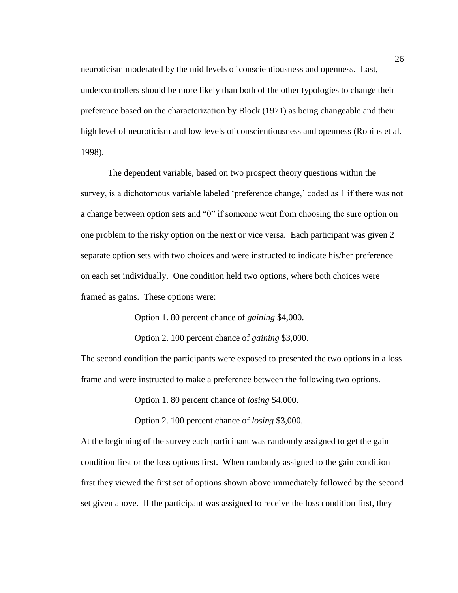neuroticism moderated by the mid levels of conscientiousness and openness. Last, undercontrollers should be more likely than both of the other typologies to change their preference based on the characterization by Block (1971) as being changeable and their high level of neuroticism and low levels of conscientiousness and openness (Robins et al. 1998).

The dependent variable, based on two prospect theory questions within the survey, is a dichotomous variable labeled 'preference change,' coded as 1 if there was not a change between option sets and "0" if someone went from choosing the sure option on one problem to the risky option on the next or vice versa. Each participant was given 2 separate option sets with two choices and were instructed to indicate his/her preference on each set individually. One condition held two options, where both choices were framed as gains. These options were:

Option 1. 80 percent chance of *gaining* \$4,000.

Option 2. 100 percent chance of *gaining* \$3,000.

The second condition the participants were exposed to presented the two options in a loss frame and were instructed to make a preference between the following two options.

Option 1. 80 percent chance of *losing* \$4,000.

Option 2. 100 percent chance of *losing* \$3,000.

At the beginning of the survey each participant was randomly assigned to get the gain condition first or the loss options first. When randomly assigned to the gain condition first they viewed the first set of options shown above immediately followed by the second set given above. If the participant was assigned to receive the loss condition first, they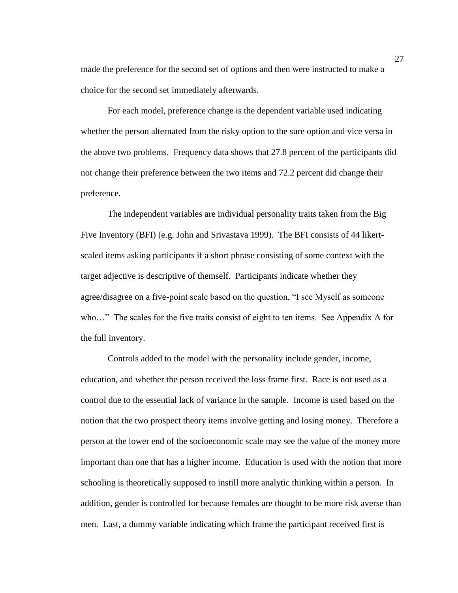made the preference for the second set of options and then were instructed to make a choice for the second set immediately afterwards.

For each model, preference change is the dependent variable used indicating whether the person alternated from the risky option to the sure option and vice versa in the above two problems. Frequency data shows that 27.8 percent of the participants did not change their preference between the two items and 72.2 percent did change their preference.

The independent variables are individual personality traits taken from the Big Five Inventory (BFI) (e.g. John and Srivastava 1999). The BFI consists of 44 likertscaled items asking participants if a short phrase consisting of some context with the target adjective is descriptive of themself. Participants indicate whether they agree/disagree on a five-point scale based on the question, "I see Myself as someone who..." The scales for the five traits consist of eight to ten items. See Appendix A for the full inventory.

Controls added to the model with the personality include gender, income, education, and whether the person received the loss frame first. Race is not used as a control due to the essential lack of variance in the sample. Income is used based on the notion that the two prospect theory items involve getting and losing money. Therefore a person at the lower end of the socioeconomic scale may see the value of the money more important than one that has a higher income. Education is used with the notion that more schooling is theoretically supposed to instill more analytic thinking within a person. In addition, gender is controlled for because females are thought to be more risk averse than men. Last, a dummy variable indicating which frame the participant received first is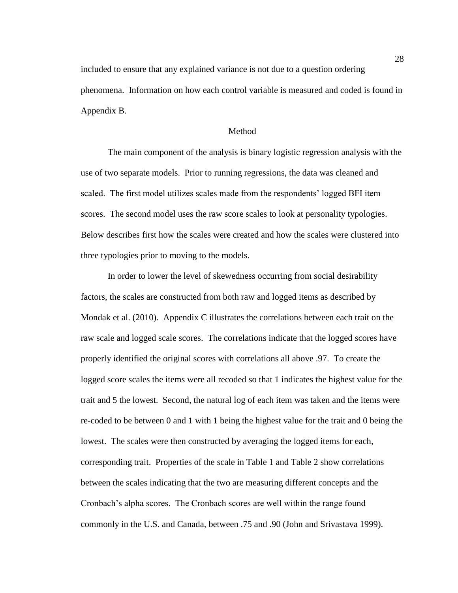included to ensure that any explained variance is not due to a question ordering phenomena. Information on how each control variable is measured and coded is found in Appendix B.

## Method

The main component of the analysis is binary logistic regression analysis with the use of two separate models. Prior to running regressions, the data was cleaned and scaled. The first model utilizes scales made from the respondents" logged BFI item scores. The second model uses the raw score scales to look at personality typologies. Below describes first how the scales were created and how the scales were clustered into three typologies prior to moving to the models.

In order to lower the level of skewedness occurring from social desirability factors, the scales are constructed from both raw and logged items as described by Mondak et al. (2010). Appendix C illustrates the correlations between each trait on the raw scale and logged scale scores. The correlations indicate that the logged scores have properly identified the original scores with correlations all above .97. To create the logged score scales the items were all recoded so that 1 indicates the highest value for the trait and 5 the lowest. Second, the natural log of each item was taken and the items were re-coded to be between 0 and 1 with 1 being the highest value for the trait and 0 being the lowest. The scales were then constructed by averaging the logged items for each, corresponding trait. Properties of the scale in Table 1 and Table 2 show correlations between the scales indicating that the two are measuring different concepts and the Cronbach"s alpha scores. The Cronbach scores are well within the range found commonly in the U.S. and Canada, between .75 and .90 (John and Srivastava 1999).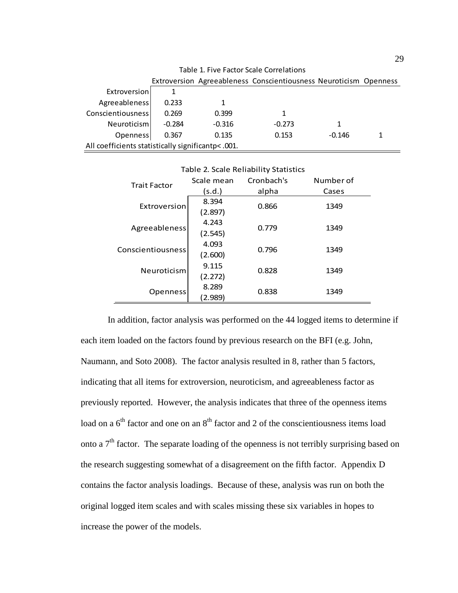| Table 1. Five Factor Scale Correlations            |          |          |                                                                   |          |  |  |
|----------------------------------------------------|----------|----------|-------------------------------------------------------------------|----------|--|--|
|                                                    |          |          | Extroversion Agreeableness Conscientiousness Neuroticism Openness |          |  |  |
| Extroversion                                       |          |          |                                                                   |          |  |  |
| Agreeableness                                      | 0.233    |          |                                                                   |          |  |  |
| Conscientiousness                                  | 0.269    | 0.399    | 1                                                                 |          |  |  |
| Neuroticism                                        | $-0.284$ | $-0.316$ | $-0.273$                                                          | 1        |  |  |
| Openness                                           | 0.367    | 0.135    | 0.153                                                             | $-0.146$ |  |  |
| All coefficients statistically significantp< .001. |          |          |                                                                   |          |  |  |

| <b>Trait Factor</b> | Scale mean | Cronbach's | Number of |  |
|---------------------|------------|------------|-----------|--|
|                     | (s.d.)     | alpha      | Cases     |  |
| Extroversion        | 8.394      | 0.866      | 1349      |  |
|                     | (2.897)    |            |           |  |
|                     | 4.243      | 0.779      | 1349      |  |
| Agreeableness       | (2.545)    |            |           |  |
| Conscientiousness   | 4.093      | 0.796      | 1349      |  |
|                     | (2.600)    |            |           |  |
| Neuroticism         | 9.115      | 0.828      | 1349      |  |
|                     | (2.272)    |            |           |  |
| Openness            | 8.289      | 0.838      | 1349      |  |
|                     | 2.989      |            |           |  |

Table 2. Scale Reliability Statistics

In addition, factor analysis was performed on the 44 logged items to determine if each item loaded on the factors found by previous research on the BFI (e.g. John, Naumann, and Soto 2008). The factor analysis resulted in 8, rather than 5 factors, indicating that all items for extroversion, neuroticism, and agreeableness factor as previously reported. However, the analysis indicates that three of the openness items load on a  $6<sup>th</sup>$  factor and one on an  $8<sup>th</sup>$  factor and 2 of the conscientiousness items load onto a  $7<sup>th</sup>$  factor. The separate loading of the openness is not terribly surprising based on the research suggesting somewhat of a disagreement on the fifth factor. Appendix D contains the factor analysis loadings. Because of these, analysis was run on both the original logged item scales and with scales missing these six variables in hopes to increase the power of the models.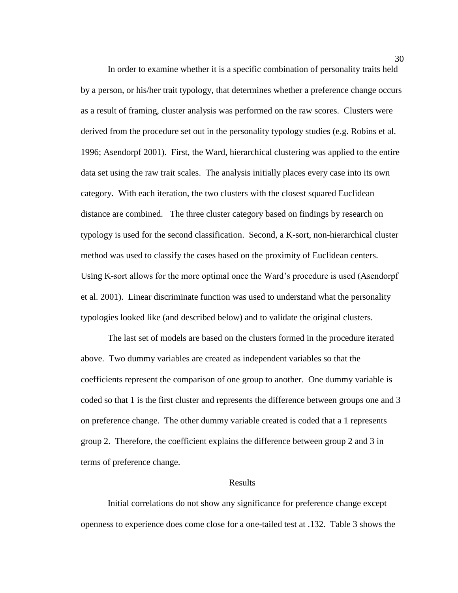In order to examine whether it is a specific combination of personality traits held by a person, or his/her trait typology, that determines whether a preference change occurs as a result of framing, cluster analysis was performed on the raw scores. Clusters were derived from the procedure set out in the personality typology studies (e.g. Robins et al. 1996; Asendorpf 2001). First, the Ward, hierarchical clustering was applied to the entire data set using the raw trait scales. The analysis initially places every case into its own category. With each iteration, the two clusters with the closest squared Euclidean distance are combined. The three cluster category based on findings by research on typology is used for the second classification. Second, a K-sort, non-hierarchical cluster method was used to classify the cases based on the proximity of Euclidean centers. Using K-sort allows for the more optimal once the Ward"s procedure is used (Asendorpf et al. 2001). Linear discriminate function was used to understand what the personality typologies looked like (and described below) and to validate the original clusters.

The last set of models are based on the clusters formed in the procedure iterated above. Two dummy variables are created as independent variables so that the coefficients represent the comparison of one group to another. One dummy variable is coded so that 1 is the first cluster and represents the difference between groups one and 3 on preference change. The other dummy variable created is coded that a 1 represents group 2. Therefore, the coefficient explains the difference between group 2 and 3 in terms of preference change.

#### Results

Initial correlations do not show any significance for preference change except openness to experience does come close for a one-tailed test at .132. Table 3 shows the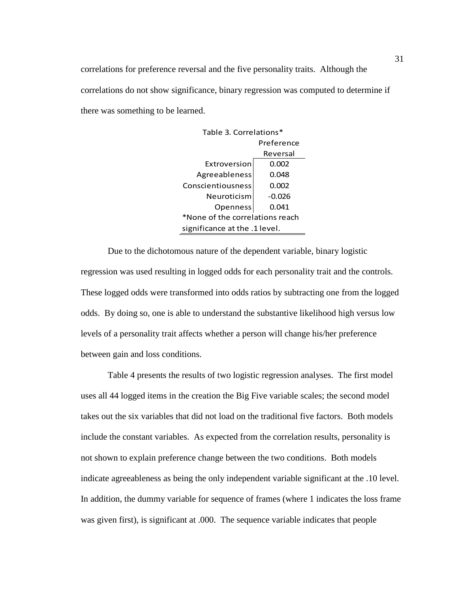correlations for preference reversal and the five personality traits. Although the correlations do not show significance, binary regression was computed to determine if there was something to be learned.

| Table 3. Correlations*          |          |  |  |  |
|---------------------------------|----------|--|--|--|
| Preference                      |          |  |  |  |
|                                 | Reversal |  |  |  |
| Extroversion                    | 0.002    |  |  |  |
| Agreeableness                   | 0.048    |  |  |  |
| Conscientiousness               | 0.002    |  |  |  |
| Neuroticism                     | $-0.026$ |  |  |  |
| Openness<br>0.041               |          |  |  |  |
| *None of the correlations reach |          |  |  |  |
| significance at the .1 level.   |          |  |  |  |

Due to the dichotomous nature of the dependent variable, binary logistic regression was used resulting in logged odds for each personality trait and the controls. These logged odds were transformed into odds ratios by subtracting one from the logged odds. By doing so, one is able to understand the substantive likelihood high versus low levels of a personality trait affects whether a person will change his/her preference between gain and loss conditions.

Table 4 presents the results of two logistic regression analyses. The first model uses all 44 logged items in the creation the Big Five variable scales; the second model takes out the six variables that did not load on the traditional five factors. Both models include the constant variables. As expected from the correlation results, personality is not shown to explain preference change between the two conditions. Both models indicate agreeableness as being the only independent variable significant at the .10 level. In addition, the dummy variable for sequence of frames (where 1 indicates the loss frame was given first), is significant at .000. The sequence variable indicates that people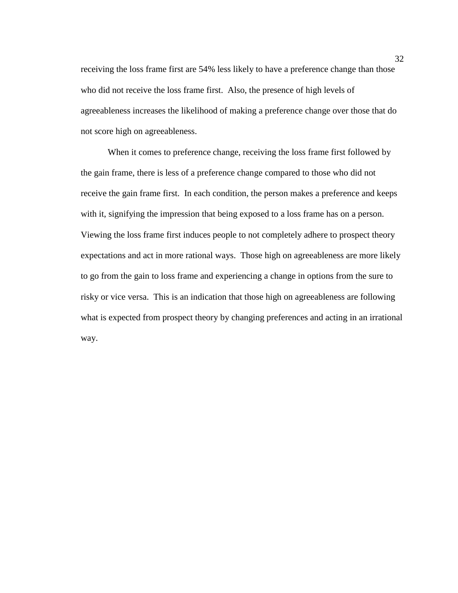receiving the loss frame first are 54% less likely to have a preference change than those who did not receive the loss frame first. Also, the presence of high levels of agreeableness increases the likelihood of making a preference change over those that do not score high on agreeableness.

When it comes to preference change, receiving the loss frame first followed by the gain frame, there is less of a preference change compared to those who did not receive the gain frame first. In each condition, the person makes a preference and keeps with it, signifying the impression that being exposed to a loss frame has on a person. Viewing the loss frame first induces people to not completely adhere to prospect theory expectations and act in more rational ways. Those high on agreeableness are more likely to go from the gain to loss frame and experiencing a change in options from the sure to risky or vice versa. This is an indication that those high on agreeableness are following what is expected from prospect theory by changing preferences and acting in an irrational way.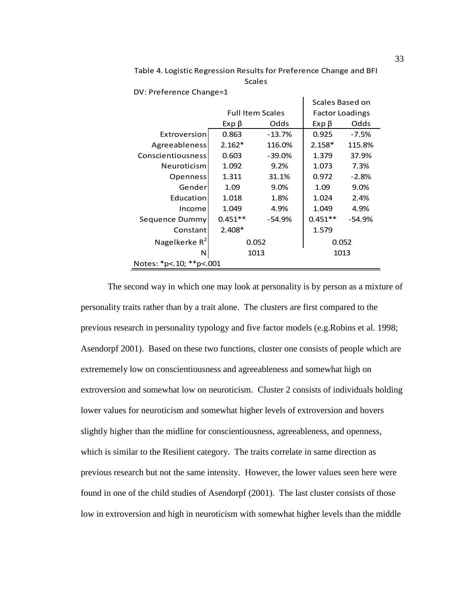|                         |                         |          | Scales Based on        |          |
|-------------------------|-------------------------|----------|------------------------|----------|
|                         | <b>Full Item Scales</b> |          | <b>Factor Loadings</b> |          |
|                         | $Exp \beta$             | Odds     | $Exp \beta$            | Odds     |
| Extroversion            | 0.863                   | $-13.7%$ | 0.925                  | $-7.5%$  |
| Agreeableness           | $2.162*$                | 116.0%   | $2.158*$               | 115.8%   |
| Conscientiousness       | 0.603                   | $-39.0%$ | 1.379                  | 37.9%    |
| Neuroticism             | 1.092                   | 9.2%     | 1.073                  | 7.3%     |
| Openness                | 1.311                   | 31.1%    | 0.972                  | $-2.8%$  |
| Gender                  | 1.09                    | $9.0\%$  | 1.09                   | 9.0%     |
| Education               | 1.018                   | 1.8%     | 1.024                  | 2.4%     |
| Income                  | 1.049                   | 4.9%     | 1.049                  | 4.9%     |
| Sequence Dummy          | $0.451**$               | $-54.9%$ | $0.451**$              | $-54.9%$ |
| Constant                | $2.408*$                |          | 1.579                  |          |
| Nagelkerke $R^2$        | 0.052                   |          | 0.052                  |          |
| N                       | 1013                    |          |                        | 1013     |
| Notes: *p<.10; **p<.001 |                         |          |                        |          |

Table 4. Logistic Regression Results for Preference Change and BFI **Scales** 

DV: Preference Change=1

The second way in which one may look at personality is by person as a mixture of personality traits rather than by a trait alone. The clusters are first compared to the previous research in personality typology and five factor models (e.g.Robins et al. 1998; Asendorpf 2001). Based on these two functions, cluster one consists of people which are extrememely low on conscientiousness and agreeableness and somewhat high on extroversion and somewhat low on neuroticism. Cluster 2 consists of individuals holding lower values for neuroticism and somewhat higher levels of extroversion and hovers slightly higher than the midline for conscientiousness, agreeableness, and openness, which is similar to the Resilient category. The traits correlate in same direction as previous research but not the same intensity. However, the lower values seen here were found in one of the child studies of Asendorpf (2001). The last cluster consists of those low in extroversion and high in neuroticism with somewhat higher levels than the middle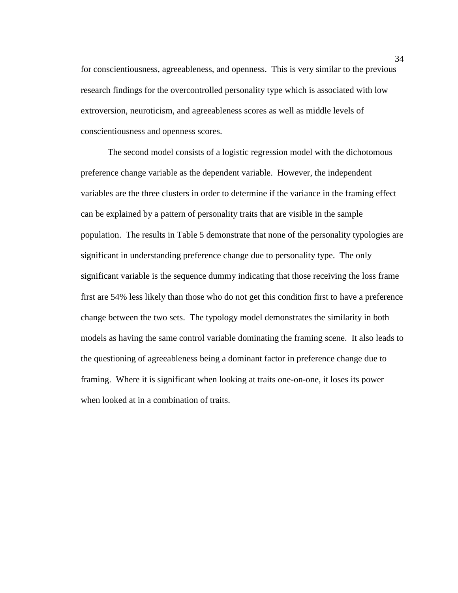for conscientiousness, agreeableness, and openness. This is very similar to the previous research findings for the overcontrolled personality type which is associated with low extroversion, neuroticism, and agreeableness scores as well as middle levels of conscientiousness and openness scores.

The second model consists of a logistic regression model with the dichotomous preference change variable as the dependent variable. However, the independent variables are the three clusters in order to determine if the variance in the framing effect can be explained by a pattern of personality traits that are visible in the sample population. The results in Table 5 demonstrate that none of the personality typologies are significant in understanding preference change due to personality type. The only significant variable is the sequence dummy indicating that those receiving the loss frame first are 54% less likely than those who do not get this condition first to have a preference change between the two sets. The typology model demonstrates the similarity in both models as having the same control variable dominating the framing scene. It also leads to the questioning of agreeableness being a dominant factor in preference change due to framing. Where it is significant when looking at traits one-on-one, it loses its power when looked at in a combination of traits.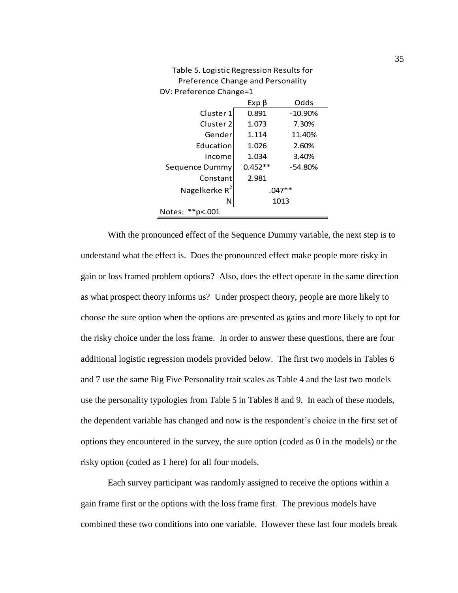| <b>THE REPORT OF STRING CONTRACT CLOSUTION IT IS</b> |           |           |  |  |  |  |
|------------------------------------------------------|-----------|-----------|--|--|--|--|
| DV: Preference Change=1                              |           |           |  |  |  |  |
|                                                      | Exp β     | Odds      |  |  |  |  |
| Cluster 1                                            | 0.891     | $-10.90%$ |  |  |  |  |
| Cluster <sub>2</sub>                                 | 1.073     | 7.30%     |  |  |  |  |
| Gender                                               | 1.114     | 11.40%    |  |  |  |  |
| Education                                            | 1.026     | 2.60%     |  |  |  |  |
| Income                                               | 1.034     | 3.40%     |  |  |  |  |
| Sequence Dummy                                       | $0.452**$ | $-54.80%$ |  |  |  |  |
| Constant                                             | 2.981     |           |  |  |  |  |
| Nagelkerke $R^2$                                     |           | $.047**$  |  |  |  |  |
| N                                                    |           | 1013      |  |  |  |  |
| $*$ $p$ <.001<br>Notes:                              |           |           |  |  |  |  |

Table 5. Logistic Regression Results for Preference Change and Personality

With the pronounced effect of the Sequence Dummy variable, the next step is to understand what the effect is. Does the pronounced effect make people more risky in gain or loss framed problem options? Also, does the effect operate in the same direction as what prospect theory informs us? Under prospect theory, people are more likely to choose the sure option when the options are presented as gains and more likely to opt for the risky choice under the loss frame. In order to answer these questions, there are four additional logistic regression models provided below. The first two models in Tables 6 and 7 use the same Big Five Personality trait scales as Table 4 and the last two models use the personality typologies from Table 5 in Tables 8 and 9. In each of these models, the dependent variable has changed and now is the respondent"s choice in the first set of options they encountered in the survey, the sure option (coded as 0 in the models) or the risky option (coded as 1 here) for all four models.

Each survey participant was randomly assigned to receive the options within a gain frame first or the options with the loss frame first. The previous models have combined these two conditions into one variable. However these last four models break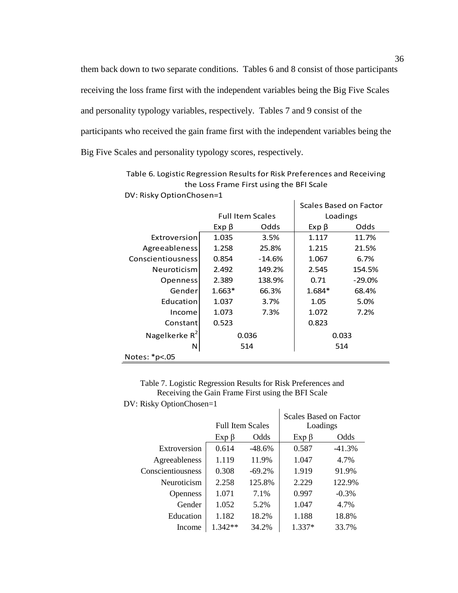them back down to two separate conditions. Tables 6 and 8 consist of those participants receiving the loss frame first with the independent variables being the Big Five Scales and personality typology variables, respectively. Tables 7 and 9 consist of the participants who received the gain frame first with the independent variables being the Big Five Scales and personality typology scores, respectively.

|                          |             |                         | Scales Based on Factor |          |  |  |
|--------------------------|-------------|-------------------------|------------------------|----------|--|--|
|                          |             | <b>Full Item Scales</b> |                        | Loadings |  |  |
|                          | $Exp \beta$ | Odds                    | $Exp \beta$            | Odds     |  |  |
| Extroversion             | 1.035       | 3.5%                    | 1.117                  | 11.7%    |  |  |
| Agreeableness            | 1.258       | 25.8%                   | 1.215                  | 21.5%    |  |  |
| <b>Conscientiousness</b> | 0.854       | $-14.6%$                | 1.067                  | 6.7%     |  |  |
| Neuroticism              | 2.492       | 149.2%                  | 2.545                  | 154.5%   |  |  |
| <b>Openness</b>          | 2.389       | 138.9%                  | 0.71                   | $-29.0%$ |  |  |
| Gender                   | $1.663*$    | 66.3%                   | 1.684*                 | 68.4%    |  |  |
| Education                | 1.037       | 3.7%                    | 1.05                   | 5.0%     |  |  |
| Income                   | 1.073       | 7.3%                    | 1.072                  | 7.2%     |  |  |
| Constant                 | 0.523       |                         | 0.823                  |          |  |  |
| Nagelkerke $R^2$         | 0.036       |                         | 0.033                  |          |  |  |
| N                        | 514         |                         | 514                    |          |  |  |
| Notes: *p<.05            |             |                         |                        |          |  |  |

Table 6. Logistic Regression Results for Risk Preferences and Receiving the Loss Frame First using the BFI Scale DV: Risky OptionChosen=1

Table 7. Logistic Regression Results for Risk Preferences and Receiving the Gain Frame First using the BFI Scale DV: Risky OptionChosen=1

| 1.001             |                         |          |                                    |          |
|-------------------|-------------------------|----------|------------------------------------|----------|
|                   | <b>Full Item Scales</b> |          | Scales Based on Factor<br>Loadings |          |
|                   | $Exp \beta$             | Odds     | $Exp \beta$                        | Odds     |
| Extroversion      | 0.614                   | $-48.6%$ | 0.587                              | $-41.3%$ |
| Agreeableness     | 1.119                   | 11.9%    | 1.047                              | 4.7%     |
| Conscientiousness | 0.308                   | $-69.2%$ | 1.919                              | 91.9%    |
| Neuroticism       | 2.258                   | 125.8%   | 2.229                              | 122.9%   |
| Openness          | 1.071                   | 7.1%     | 0.997                              | $-0.3%$  |
| Gender            | 1.052                   | 5.2%     | 1.047                              | 4.7%     |
| Education         | 1.182                   | 18.2%    | 1.188                              | 18.8%    |
| Income            | $1.342**$               | 34.2%    | $1.337*$                           | 33.7%    |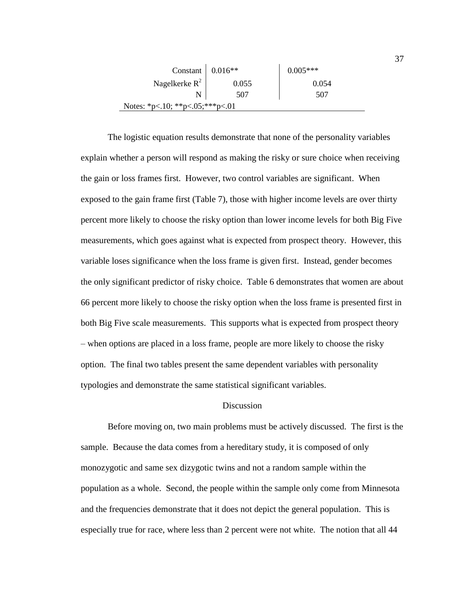| Constant $\vert 0.016** \vert$  |       | $0.005***$ |
|---------------------------------|-------|------------|
| Nagelkerke $R^2$                | 0.055 | 0.054      |
|                                 | 507   | 507        |
| Notes: *p<.10; **p<.05;***p<.01 |       |            |

The logistic equation results demonstrate that none of the personality variables explain whether a person will respond as making the risky or sure choice when receiving the gain or loss frames first. However, two control variables are significant. When exposed to the gain frame first (Table 7), those with higher income levels are over thirty percent more likely to choose the risky option than lower income levels for both Big Five measurements, which goes against what is expected from prospect theory. However, this variable loses significance when the loss frame is given first. Instead, gender becomes the only significant predictor of risky choice. Table 6 demonstrates that women are about 66 percent more likely to choose the risky option when the loss frame is presented first in both Big Five scale measurements. This supports what is expected from prospect theory – when options are placed in a loss frame, people are more likely to choose the risky option. The final two tables present the same dependent variables with personality typologies and demonstrate the same statistical significant variables.

## **Discussion**

Before moving on, two main problems must be actively discussed. The first is the sample. Because the data comes from a hereditary study, it is composed of only monozygotic and same sex dizygotic twins and not a random sample within the population as a whole. Second, the people within the sample only come from Minnesota and the frequencies demonstrate that it does not depict the general population. This is especially true for race, where less than 2 percent were not white. The notion that all 44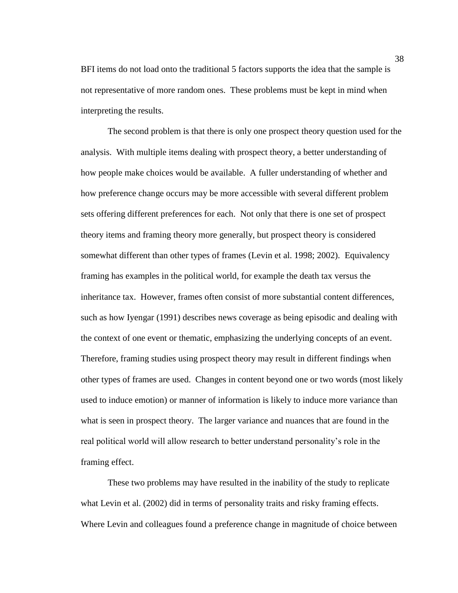BFI items do not load onto the traditional 5 factors supports the idea that the sample is not representative of more random ones. These problems must be kept in mind when interpreting the results.

The second problem is that there is only one prospect theory question used for the analysis. With multiple items dealing with prospect theory, a better understanding of how people make choices would be available. A fuller understanding of whether and how preference change occurs may be more accessible with several different problem sets offering different preferences for each. Not only that there is one set of prospect theory items and framing theory more generally, but prospect theory is considered somewhat different than other types of frames (Levin et al. 1998; 2002). Equivalency framing has examples in the political world, for example the death tax versus the inheritance tax. However, frames often consist of more substantial content differences, such as how Iyengar (1991) describes news coverage as being episodic and dealing with the context of one event or thematic, emphasizing the underlying concepts of an event. Therefore, framing studies using prospect theory may result in different findings when other types of frames are used. Changes in content beyond one or two words (most likely used to induce emotion) or manner of information is likely to induce more variance than what is seen in prospect theory. The larger variance and nuances that are found in the real political world will allow research to better understand personality"s role in the framing effect.

These two problems may have resulted in the inability of the study to replicate what Levin et al. (2002) did in terms of personality traits and risky framing effects. Where Levin and colleagues found a preference change in magnitude of choice between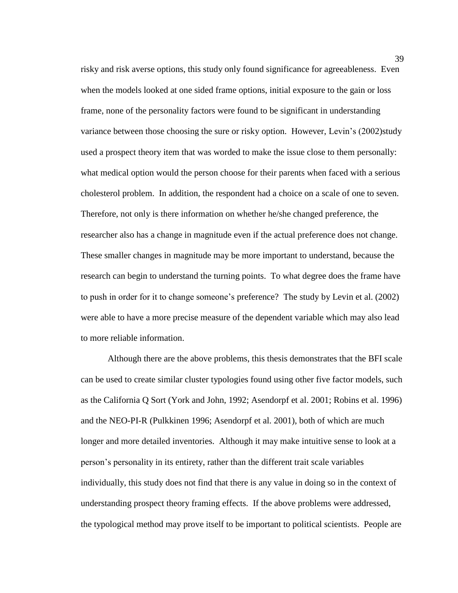risky and risk averse options, this study only found significance for agreeableness. Even when the models looked at one sided frame options, initial exposure to the gain or loss frame, none of the personality factors were found to be significant in understanding variance between those choosing the sure or risky option. However, Levin's (2002)study used a prospect theory item that was worded to make the issue close to them personally: what medical option would the person choose for their parents when faced with a serious cholesterol problem. In addition, the respondent had a choice on a scale of one to seven. Therefore, not only is there information on whether he/she changed preference, the researcher also has a change in magnitude even if the actual preference does not change. These smaller changes in magnitude may be more important to understand, because the research can begin to understand the turning points. To what degree does the frame have to push in order for it to change someone"s preference? The study by Levin et al. (2002) were able to have a more precise measure of the dependent variable which may also lead to more reliable information.

Although there are the above problems, this thesis demonstrates that the BFI scale can be used to create similar cluster typologies found using other five factor models, such as the California Q Sort (York and John, 1992; Asendorpf et al. 2001; Robins et al. 1996) and the NEO-PI-R (Pulkkinen 1996; Asendorpf et al. 2001), both of which are much longer and more detailed inventories. Although it may make intuitive sense to look at a person"s personality in its entirety, rather than the different trait scale variables individually, this study does not find that there is any value in doing so in the context of understanding prospect theory framing effects. If the above problems were addressed, the typological method may prove itself to be important to political scientists. People are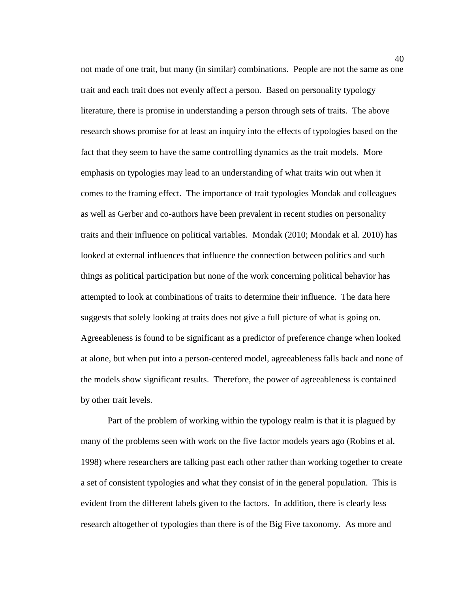not made of one trait, but many (in similar) combinations. People are not the same as one trait and each trait does not evenly affect a person. Based on personality typology literature, there is promise in understanding a person through sets of traits. The above research shows promise for at least an inquiry into the effects of typologies based on the fact that they seem to have the same controlling dynamics as the trait models. More emphasis on typologies may lead to an understanding of what traits win out when it comes to the framing effect. The importance of trait typologies Mondak and colleagues as well as Gerber and co-authors have been prevalent in recent studies on personality traits and their influence on political variables. Mondak (2010; Mondak et al. 2010) has looked at external influences that influence the connection between politics and such things as political participation but none of the work concerning political behavior has attempted to look at combinations of traits to determine their influence. The data here suggests that solely looking at traits does not give a full picture of what is going on. Agreeableness is found to be significant as a predictor of preference change when looked at alone, but when put into a person-centered model, agreeableness falls back and none of the models show significant results. Therefore, the power of agreeableness is contained by other trait levels.

Part of the problem of working within the typology realm is that it is plagued by many of the problems seen with work on the five factor models years ago (Robins et al. 1998) where researchers are talking past each other rather than working together to create a set of consistent typologies and what they consist of in the general population. This is evident from the different labels given to the factors. In addition, there is clearly less research altogether of typologies than there is of the Big Five taxonomy. As more and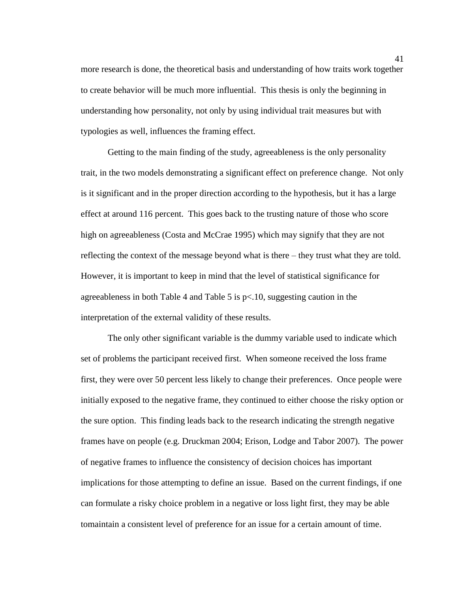more research is done, the theoretical basis and understanding of how traits work together to create behavior will be much more influential. This thesis is only the beginning in understanding how personality, not only by using individual trait measures but with typologies as well, influences the framing effect.

Getting to the main finding of the study, agreeableness is the only personality trait, in the two models demonstrating a significant effect on preference change. Not only is it significant and in the proper direction according to the hypothesis, but it has a large effect at around 116 percent. This goes back to the trusting nature of those who score high on agreeableness (Costa and McCrae 1995) which may signify that they are not reflecting the context of the message beyond what is there – they trust what they are told. However, it is important to keep in mind that the level of statistical significance for agreeableness in both Table 4 and Table 5 is  $p<10$ , suggesting caution in the interpretation of the external validity of these results.

The only other significant variable is the dummy variable used to indicate which set of problems the participant received first. When someone received the loss frame first, they were over 50 percent less likely to change their preferences. Once people were initially exposed to the negative frame, they continued to either choose the risky option or the sure option. This finding leads back to the research indicating the strength negative frames have on people (e.g. Druckman 2004; Erison, Lodge and Tabor 2007). The power of negative frames to influence the consistency of decision choices has important implications for those attempting to define an issue. Based on the current findings, if one can formulate a risky choice problem in a negative or loss light first, they may be able tomaintain a consistent level of preference for an issue for a certain amount of time.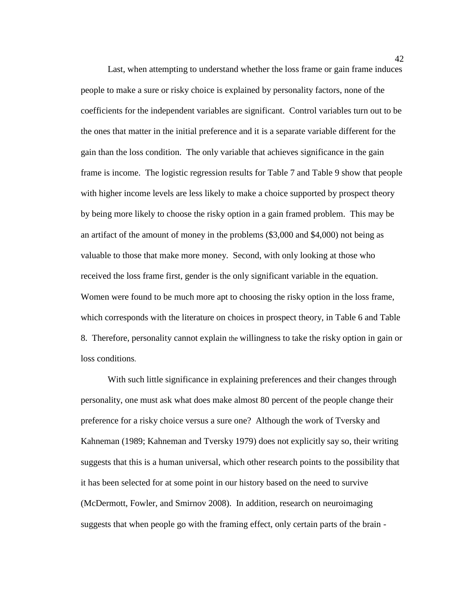Last, when attempting to understand whether the loss frame or gain frame induces people to make a sure or risky choice is explained by personality factors, none of the coefficients for the independent variables are significant. Control variables turn out to be the ones that matter in the initial preference and it is a separate variable different for the gain than the loss condition. The only variable that achieves significance in the gain frame is income. The logistic regression results for Table 7 and Table 9 show that people with higher income levels are less likely to make a choice supported by prospect theory by being more likely to choose the risky option in a gain framed problem. This may be an artifact of the amount of money in the problems (\$3,000 and \$4,000) not being as valuable to those that make more money. Second, with only looking at those who received the loss frame first, gender is the only significant variable in the equation. Women were found to be much more apt to choosing the risky option in the loss frame, which corresponds with the literature on choices in prospect theory, in Table 6 and Table 8. Therefore, personality cannot explain the willingness to take the risky option in gain or loss conditions.

With such little significance in explaining preferences and their changes through personality, one must ask what does make almost 80 percent of the people change their preference for a risky choice versus a sure one? Although the work of Tversky and Kahneman (1989; Kahneman and Tversky 1979) does not explicitly say so, their writing suggests that this is a human universal, which other research points to the possibility that it has been selected for at some point in our history based on the need to survive (McDermott, Fowler, and Smirnov 2008). In addition, research on neuroimaging suggests that when people go with the framing effect, only certain parts of the brain -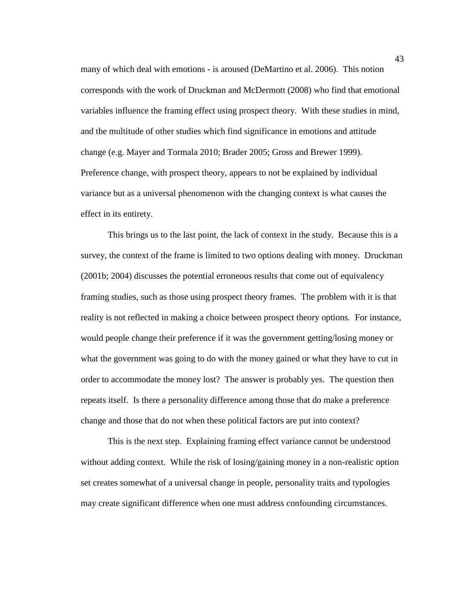many of which deal with emotions - is aroused (DeMartino et al. 2006). This notion corresponds with the work of Druckman and McDermott (2008) who find that emotional variables influence the framing effect using prospect theory. With these studies in mind, and the multitude of other studies which find significance in emotions and attitude change (e.g. Mayer and Tormala 2010; Brader 2005; Gross and Brewer 1999). Preference change, with prospect theory, appears to not be explained by individual variance but as a universal phenomenon with the changing context is what causes the effect in its entirety.

This brings us to the last point, the lack of context in the study. Because this is a survey, the context of the frame is limited to two options dealing with money. Druckman (2001b; 2004) discusses the potential erroneous results that come out of equivalency framing studies, such as those using prospect theory frames. The problem with it is that reality is not reflected in making a choice between prospect theory options. For instance, would people change their preference if it was the government getting/losing money or what the government was going to do with the money gained or what they have to cut in order to accommodate the money lost? The answer is probably yes. The question then repeats itself. Is there a personality difference among those that do make a preference change and those that do not when these political factors are put into context?

This is the next step. Explaining framing effect variance cannot be understood without adding context. While the risk of losing/gaining money in a non-realistic option set creates somewhat of a universal change in people, personality traits and typologies may create significant difference when one must address confounding circumstances.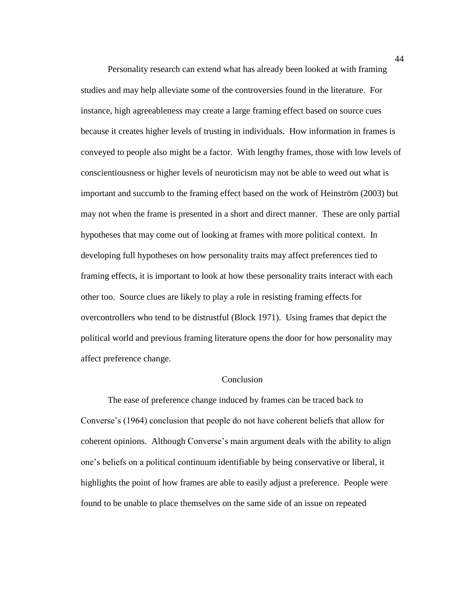Personality research can extend what has already been looked at with framing studies and may help alleviate some of the controversies found in the literature. For instance, high agreeableness may create a large framing effect based on source cues because it creates higher levels of trusting in individuals. How information in frames is conveyed to people also might be a factor. With lengthy frames, those with low levels of conscientiousness or higher levels of neuroticism may not be able to weed out what is important and succumb to the framing effect based on the work of Heinström (2003) but may not when the frame is presented in a short and direct manner. These are only partial hypotheses that may come out of looking at frames with more political context. In developing full hypotheses on how personality traits may affect preferences tied to framing effects, it is important to look at how these personality traits interact with each other too. Source clues are likely to play a role in resisting framing effects for overcontrollers who tend to be distrustful (Block 1971). Using frames that depict the political world and previous framing literature opens the door for how personality may affect preference change.

## Conclusion

The ease of preference change induced by frames can be traced back to Converse"s (1964) conclusion that people do not have coherent beliefs that allow for coherent opinions. Although Converse"s main argument deals with the ability to align one"s beliefs on a political continuum identifiable by being conservative or liberal, it highlights the point of how frames are able to easily adjust a preference. People were found to be unable to place themselves on the same side of an issue on repeated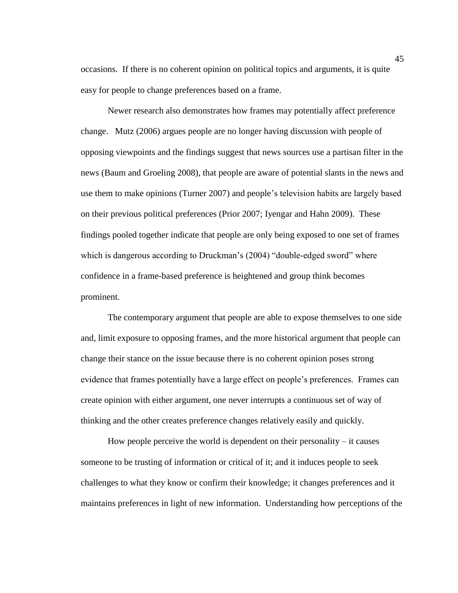occasions. If there is no coherent opinion on political topics and arguments, it is quite easy for people to change preferences based on a frame.

Newer research also demonstrates how frames may potentially affect preference change. Mutz (2006) argues people are no longer having discussion with people of opposing viewpoints and the findings suggest that news sources use a partisan filter in the news (Baum and Groeling 2008), that people are aware of potential slants in the news and use them to make opinions (Turner 2007) and people"s television habits are largely based on their previous political preferences (Prior 2007; Iyengar and Hahn 2009). These findings pooled together indicate that people are only being exposed to one set of frames which is dangerous according to Druckman's (2004) "double-edged sword" where confidence in a frame-based preference is heightened and group think becomes prominent.

The contemporary argument that people are able to expose themselves to one side and, limit exposure to opposing frames, and the more historical argument that people can change their stance on the issue because there is no coherent opinion poses strong evidence that frames potentially have a large effect on people"s preferences. Frames can create opinion with either argument, one never interrupts a continuous set of way of thinking and the other creates preference changes relatively easily and quickly.

How people perceive the world is dependent on their personality  $-$  it causes someone to be trusting of information or critical of it; and it induces people to seek challenges to what they know or confirm their knowledge; it changes preferences and it maintains preferences in light of new information. Understanding how perceptions of the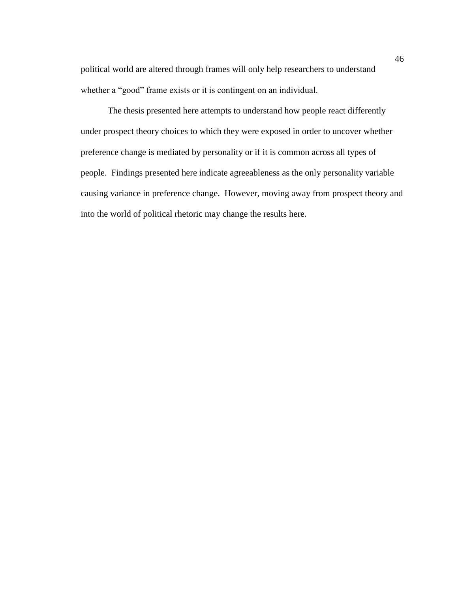political world are altered through frames will only help researchers to understand whether a "good" frame exists or it is contingent on an individual.

The thesis presented here attempts to understand how people react differently under prospect theory choices to which they were exposed in order to uncover whether preference change is mediated by personality or if it is common across all types of people. Findings presented here indicate agreeableness as the only personality variable causing variance in preference change. However, moving away from prospect theory and into the world of political rhetoric may change the results here.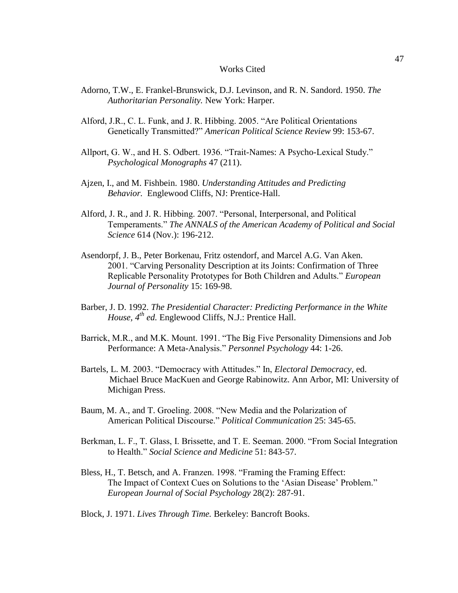#### Works Cited

- Adorno, T.W., E. Frankel-Brunswick, D.J. Levinson, and R. N. Sandord. 1950. *The Authoritarian Personality.* New York: Harper.
- Alford, J.R., C. L. Funk, and J. R. Hibbing. 2005. "Are Political Orientations Genetically Transmitted?" *American Political Science Review* 99: 153-67.
- Allport, G. W., and H. S. Odbert. 1936. "Trait-Names: A Psycho-Lexical Study." *Psychological Monographs* 47 (211).
- Ajzen, I., and M. Fishbein. 1980. *Understanding Attitudes and Predicting Behavior.* Englewood Cliffs, NJ: Prentice-Hall.
- Alford, J. R., and J. R. Hibbing. 2007. "Personal, Interpersonal, and Political Temperaments." *The ANNALS of the American Academy of Political and Social Science* 614 (Nov.): 196-212.
- Asendorpf, J. B., Peter Borkenau, Fritz ostendorf, and Marcel A.G. Van Aken. 2001. "Carving Personality Description at its Joints: Confirmation of Three Replicable Personality Prototypes for Both Children and Adults." *European Journal of Personality* 15: 169-98.
- Barber, J. D. 1992. *The Presidential Character: Predicting Performance in the White House, 4th ed.* Englewood Cliffs, N.J.: Prentice Hall.
- Barrick, M.R., and M.K. Mount. 1991. "The Big Five Personality Dimensions and Job Performance: A Meta-Analysis." *Personnel Psychology* 44: 1-26.
- Bartels, L. M. 2003. "Democracy with Attitudes." In, *Electoral Democracy,* ed. Michael Bruce MacKuen and George Rabinowitz. Ann Arbor, MI: University of Michigan Press.
- Baum, M. A., and T. Groeling. 2008. "New Media and the Polarization of American Political Discourse." *Political Communication* 25: 345-65.
- Berkman, L. F., T. Glass, I. Brissette, and T. E. Seeman. 2000. "From Social Integration to Health." *Social Science and Medicine* 51: 843-57.
- Bless, H., T. Betsch, and A. Franzen. 1998. "Framing the Framing Effect: The Impact of Context Cues on Solutions to the 'Asian Disease' Problem." *European Journal of Social Psychology* 28(2): 287-91.
- Block, J. 1971. *Lives Through Time.* Berkeley: Bancroft Books.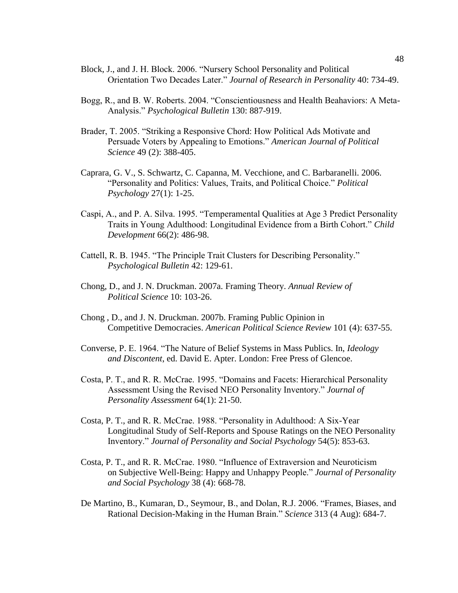- Block, J., and J. H. Block. 2006. "Nursery School Personality and Political Orientation Two Decades Later." *Journal of Research in Personality* 40: 734-49.
- Bogg, R., and B. W. Roberts. 2004. "Conscientiousness and Health Beahaviors: A Meta-Analysis." *Psychological Bulletin* 130: 887-919.
- Brader, T. 2005. "Striking a Responsive Chord: How Political Ads Motivate and Persuade Voters by Appealing to Emotions." *American Journal of Political Science* 49 (2): 388-405.
- Caprara, G. V., S. Schwartz, C. Capanna, M. Vecchione, and C. Barbaranelli. 2006. "Personality and Politics: Values, Traits, and Political Choice." *Political Psychology* 27(1): 1-25.
- Caspi, A., and P. A. Silva. 1995. "Temperamental Qualities at Age 3 Predict Personality Traits in Young Adulthood: Longitudinal Evidence from a Birth Cohort." *Child Development* 66(2): 486-98.
- Cattell, R. B. 1945. "The Principle Trait Clusters for Describing Personality." *Psychological Bulletin* 42: 129-61.
- Chong, D., and J. N. Druckman. 2007a. Framing Theory. *Annual Review of Political Science* 10: 103-26.
- Chong , D., and J. N. Druckman. 2007b. Framing Public Opinion in Competitive Democracies. *American Political Science Review* 101 (4): 637-55.
- Converse, P. E. 1964. "The Nature of Belief Systems in Mass Publics. In, *Ideology and Discontent*, ed. David E. Apter. London: Free Press of Glencoe.
- Costa, P. T., and R. R. McCrae. 1995. "Domains and Facets: Hierarchical Personality Assessment Using the Revised NEO Personality Inventory." *Journal of Personality Assessment* 64(1): 21-50.
- Costa, P. T., and R. R. McCrae. 1988. "Personality in Adulthood: A Six-Year Longitudinal Study of Self-Reports and Spouse Ratings on the NEO Personality Inventory." *Journal of Personality and Social Psychology* 54(5): 853-63.
- Costa, P. T., and R. R. McCrae. 1980. "Influence of Extraversion and Neuroticism on Subjective Well-Being: Happy and Unhappy People." *Journal of Personality and Social Psychology* 38 (4): 668-78.
- De Martino, B., Kumaran, D., Seymour, B., and Dolan, R.J. 2006. "Frames, Biases, and Rational Decision-Making in the Human Brain." *Science* 313 (4 Aug): 684-7.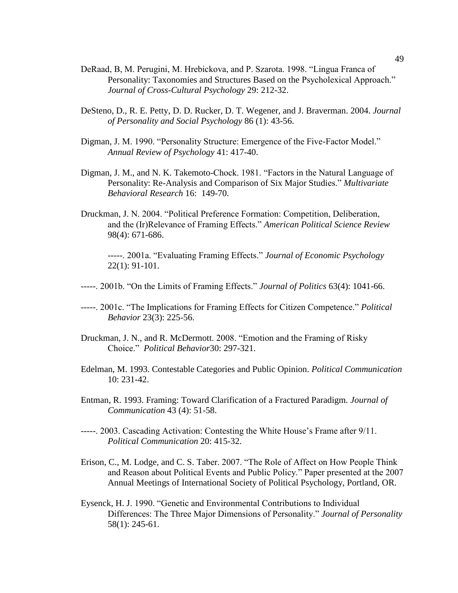- DeRaad, B, M. Perugini, M. Hrebickova, and P. Szarota. 1998. "Lingua Franca of Personality: Taxonomies and Structures Based on the Psycholexical Approach." *Journal of Cross-Cultural Psychology* 29: 212-32.
- DeSteno, D., R. E. Petty, D. D. Rucker, D. T. Wegener, and J. Braverman. 2004. *Journal of Personality and Social Psychology* 86 (1): 43-56.
- Digman, J. M. 1990. "Personality Structure: Emergence of the Five-Factor Model." *Annual Review of Psychology* 41: 417-40.
- Digman, J. M., and N. K. Takemoto-Chock. 1981. "Factors in the Natural Language of Personality: Re-Analysis and Comparison of Six Major Studies." *Multivariate Behavioral Research* 16: 149-70.
- Druckman, J. N. 2004. "Political Preference Formation: Competition, Deliberation, and the (Ir)Relevance of Framing Effects." *American Political Science Review*  98(4): 671-686.

-----. 2001a. "Evaluating Framing Effects." *Journal of Economic Psychology*  22(1): 91-101.

- -----. 2001b. "On the Limits of Framing Effects." *Journal of Politics* 63(4): 1041-66.
- -----. 2001c. "The Implications for Framing Effects for Citizen Competence." *Political Behavior* 23(3): 225-56.
- Druckman, J. N., and R. McDermott. 2008. "Emotion and the Framing of Risky Choice." *Political Behavior*30: 297-321.
- Edelman, M. 1993. Contestable Categories and Public Opinion. *Political Communication*  10: 231-42.
- Entman, R. 1993. Framing: Toward Clarification of a Fractured Paradigm. *Journal of Communication* 43 (4): 51-58.
- -----. 2003. Cascading Activation: Contesting the White House's Frame after 9/11. *Political Communication* 20: 415-32.
- Erison, C., M. Lodge, and C. S. Taber. 2007. "The Role of Affect on How People Think and Reason about Political Events and Public Policy." Paper presented at the 2007 Annual Meetings of International Society of Political Psychology, Portland, OR.
- Eysenck, H. J. 1990. "Genetic and Environmental Contributions to Individual Differences: The Three Major Dimensions of Personality." *Journal of Personality* 58(1): 245-61.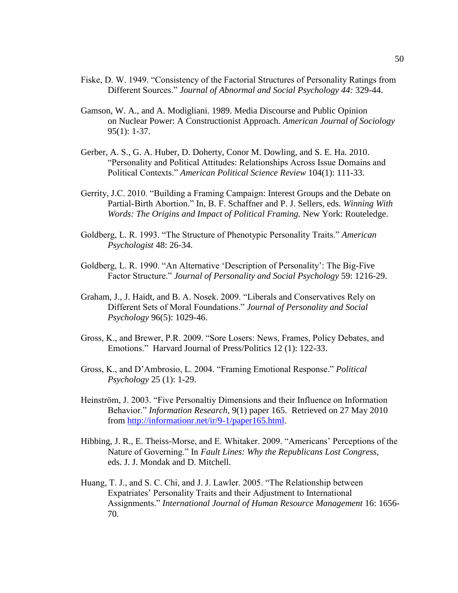- Fiske, D. W. 1949. "Consistency of the Factorial Structures of Personality Ratings from Different Sources." *Journal of Abnormal and Social Psychology 44:* 329-44.
- Gamson, W. A., and A. Modigliani. 1989. Media Discourse and Public Opinion on Nuclear Power: A Constructionist Approach. *American Journal of Sociology* 95(1): 1-37.
- Gerber, A. S., G. A. Huber, D. Doherty, Conor M. Dowling, and S. E. Ha. 2010. "Personality and Political Attitudes: Relationships Across Issue Domains and Political Contexts." *American Political Science Review* 104(1): 111-33.
- Gerrity, J.C. 2010. "Building a Framing Campaign: Interest Groups and the Debate on Partial-Birth Abortion." In, B. F. Schaffner and P. J. Sellers, eds. *Winning With Words: The Origins and Impact of Political Framing.* New York: Routeledge.
- Goldberg, L. R. 1993. "The Structure of Phenotypic Personality Traits." *American Psychologist* 48: 26-34.
- Goldberg, L. R. 1990. "An Alternative "Description of Personality": The Big-Five Factor Structure." *Journal of Personality and Social Psychology* 59: 1216-29.
- Graham, J., J. Haidt, and B. A. Nosek. 2009. "Liberals and Conservatives Rely on Different Sets of Moral Foundations." *Journal of Personality and Social Psychology* 96(5): 1029-46.
- Gross, K., and Brewer, P.R. 2009. "Sore Losers: News, Frames, Policy Debates, and Emotions." Harvard Journal of Press/Politics 12 (1): 122-33.
- Gross, K., and D"Ambrosio, L. 2004. "Framing Emotional Response." *Political Psychology* 25 (1): 1-29.
- Heinström, J. 2003. "Five Personaltiy Dimensions and their Influence on Information Behavior." *Information Research,* 9(1) paper 165. Retrieved on 27 May 2010 from [http://informationr.net/ir/9-1/paper165.html.](http://informationr.net/ir/9-1/paper165.html)
- Hibbing, J. R., E. Theiss-Morse, and E. Whitaker. 2009. "Americans" Perceptions of the Nature of Governing." In *Fault Lines: Why the Republicans Lost Congress,*  eds. J. J. Mondak and D. Mitchell.
- Huang, T. J., and S. C. Chi, and J. J. Lawler. 2005. "The Relationship between Expatriates" Personality Traits and their Adjustment to International Assignments." *International Journal of Human Resource Management* 16: 1656- 70.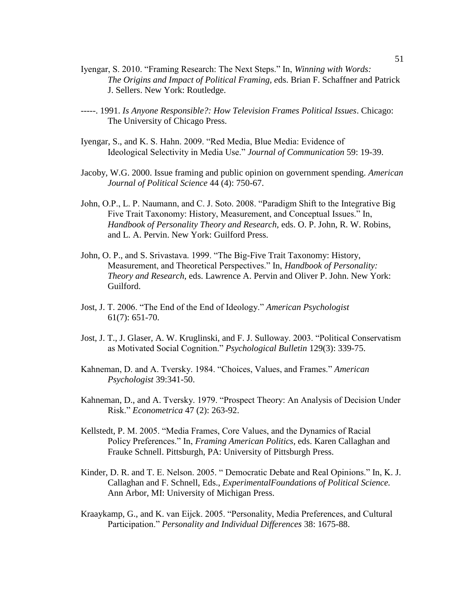- Iyengar, S. 2010. "Framing Research: The Next Steps." In, *Winning with Words: The Origins and Impact of Political Framing, e*ds. Brian F. Schaffner and Patrick J. Sellers. New York: Routledge.
- -----. 1991. *Is Anyone Responsible?: How Television Frames Political Issues*. Chicago: The University of Chicago Press.
- Iyengar, S., and K. S. Hahn. 2009. "Red Media, Blue Media: Evidence of Ideological Selectivity in Media Use." *Journal of Communication* 59: 19-39.
- Jacoby, W.G. 2000. Issue framing and public opinion on government spending. *American Journal of Political Science* 44 (4): 750-67.
- John, O.P., L. P. Naumann, and C. J. Soto. 2008. "Paradigm Shift to the Integrative Big Five Trait Taxonomy: History, Measurement, and Conceptual Issues." In, *Handbook of Personality Theory and Research,* eds. O. P. John, R. W. Robins, and L. A. Pervin. New York: Guilford Press.
- John, O. P., and S. Srivastava. 1999. "The Big-Five Trait Taxonomy: History, Measurement, and Theoretical Perspectives." In, *Handbook of Personality: Theory and Research*, eds. Lawrence A. Pervin and Oliver P. John. New York: Guilford.
- Jost, J. T. 2006. "The End of the End of Ideology." *American Psychologist*  61(7): 651-70.
- Jost, J. T., J. Glaser, A. W. Kruglinski, and F. J. Sulloway. 2003. "Political Conservatism as Motivated Social Cognition." *Psychological Bulletin* 129(3): 339-75.
- Kahneman, D. and A. Tversky. 1984. "Choices, Values, and Frames." *American Psychologist* 39:341-50.
- Kahneman, D., and A. Tversky. 1979. "Prospect Theory: An Analysis of Decision Under Risk." *Econometrica* 47 (2): 263-92.
- Kellstedt, P. M. 2005. "Media Frames, Core Values, and the Dynamics of Racial Policy Preferences." In, *Framing American Politics,* eds. Karen Callaghan and Frauke Schnell. Pittsburgh, PA: University of Pittsburgh Press.
- Kinder, D. R. and T. E. Nelson. 2005. " Democratic Debate and Real Opinions." In, K. J. Callaghan and F. Schnell, Eds., *ExperimentalFoundations of Political Science.*  Ann Arbor, MI: University of Michigan Press.
- Kraaykamp, G., and K. van Eijck. 2005. "Personality, Media Preferences, and Cultural Participation." *Personality and Individual Differences* 38: 1675-88.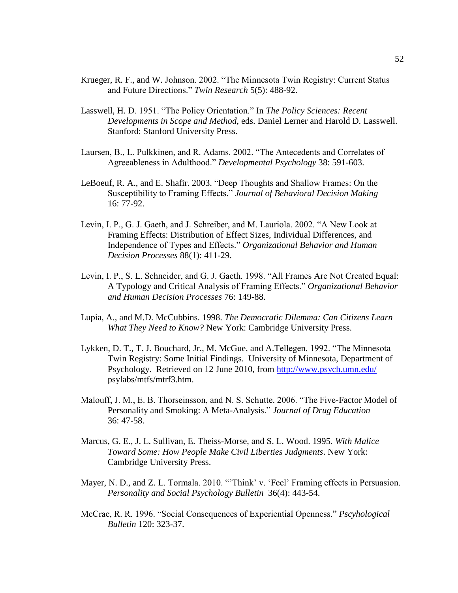- Krueger, R. F., and W. Johnson. 2002. "The Minnesota Twin Registry: Current Status and Future Directions." *Twin Research* 5(5): 488-92.
- Lasswell, H. D. 1951. "The Policy Orientation." In *The Policy Sciences: Recent Developments in Scope and Method,* eds. Daniel Lerner and Harold D. Lasswell. Stanford: Stanford University Press.
- Laursen, B., L. Pulkkinen, and R. Adams. 2002. "The Antecedents and Correlates of Agreeableness in Adulthood." *Developmental Psychology* 38: 591-603.
- LeBoeuf, R. A., and E. Shafir. 2003. "Deep Thoughts and Shallow Frames: On the Susceptibility to Framing Effects." *Journal of Behavioral Decision Making*  16: 77-92.
- Levin, I. P., G. J. Gaeth, and J. Schreiber, and M. Lauriola. 2002. "A New Look at Framing Effects: Distribution of Effect Sizes, Individual Differences, and Independence of Types and Effects." *Organizational Behavior and Human Decision Processes* 88(1): 411-29.
- Levin, I. P., S. L. Schneider, and G. J. Gaeth. 1998. "All Frames Are Not Created Equal: A Typology and Critical Analysis of Framing Effects." *Organizational Behavior and Human Decision Processes* 76: 149-88.
- Lupia, A., and M.D. McCubbins. 1998. *The Democratic Dilemma: Can Citizens Learn What They Need to Know?* New York: Cambridge University Press.
- Lykken, D. T., T. J. Bouchard, Jr., M. McGue, and A.Tellegen. 1992. "The Minnesota Twin Registry: Some Initial Findings. University of Minnesota, Department of Psychology. Retrieved on 12 June 2010, from<http://www.psych.umn.edu/> psylabs/mtfs/mtrf3.htm.
- Malouff, J. M., E. B. Thorseinsson, and N. S. Schutte. 2006. "The Five-Factor Model of Personality and Smoking: A Meta-Analysis." *Journal of Drug Education* 36: 47-58.
- Marcus, G. E., J. L. Sullivan, E. Theiss-Morse, and S. L. Wood. 1995. *With Malice Toward Some: How People Make Civil Liberties Judgments*. New York: Cambridge University Press.
- Mayer, N. D., and Z. L. Tormala. 2010. "Think' v. 'Feel' Framing effects in Persuasion. *Personality and Social Psychology Bulletin* 36(4): 443-54.
- McCrae, R. R. 1996. "Social Consequences of Experiential Openness." *Pscyhological Bulletin* 120: 323-37.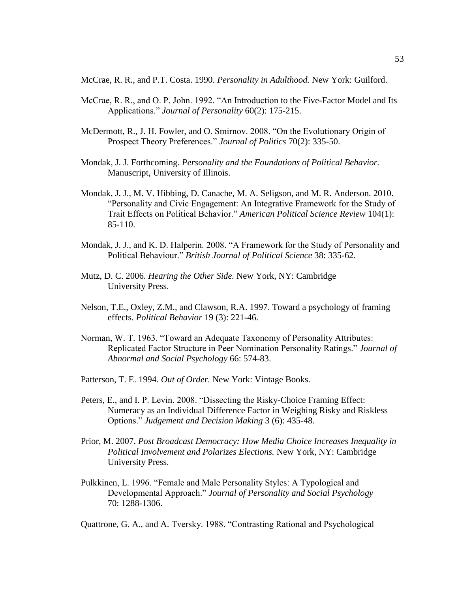McCrae, R. R., and P.T. Costa. 1990. *Personality in Adulthood.* New York: Guilford.

- McCrae, R. R., and O. P. John. 1992. "An Introduction to the Five-Factor Model and Its Applications." *Journal of Personality* 60(2): 175-215.
- McDermott, R., J. H. Fowler, and O. Smirnov. 2008. "On the Evolutionary Origin of Prospect Theory Preferences." *Journal of Politics* 70(2): 335-50.
- Mondak, J. J. Forthcoming. *Personality and the Foundations of Political Behavior.* Manuscript, University of Illinois.
- Mondak, J. J., M. V. Hibbing, D. Canache, M. A. Seligson, and M. R. Anderson. 2010. "Personality and Civic Engagement: An Integrative Framework for the Study of Trait Effects on Political Behavior." *American Political Science Review* 104(1): 85-110.
- Mondak, J. J., and K. D. Halperin. 2008. "A Framework for the Study of Personality and Political Behaviour." *British Journal of Political Science* 38: 335-62.
- Mutz, D. C. 2006. *Hearing the Other Side.* New York, NY: Cambridge University Press.
- Nelson, T.E., Oxley, Z.M., and Clawson, R.A. 1997. Toward a psychology of framing effects. *Political Behavior* 19 (3): 221-46.
- Norman, W. T. 1963. "Toward an Adequate Taxonomy of Personality Attributes: Replicated Factor Structure in Peer Nomination Personality Ratings." *Journal of Abnormal and Social Psychology* 66: 574-83.
- Patterson, T. E. 1994. *Out of Order.* New York: Vintage Books.
- Peters, E., and I. P. Levin. 2008. "Dissecting the Risky-Choice Framing Effect: Numeracy as an Individual Difference Factor in Weighing Risky and Riskless Options." *Judgement and Decision Making* 3 (6): 435-48.
- Prior, M. 2007. *Post Broadcast Democracy: How Media Choice Increases Inequality in Political Involvement and Polarizes Elections.* New York, NY: Cambridge University Press.
- Pulkkinen, L. 1996. "Female and Male Personality Styles: A Typological and Developmental Approach." *Journal of Personality and Social Psychology* 70: 1288-1306.

Quattrone, G. A., and A. Tversky. 1988. "Contrasting Rational and Psychological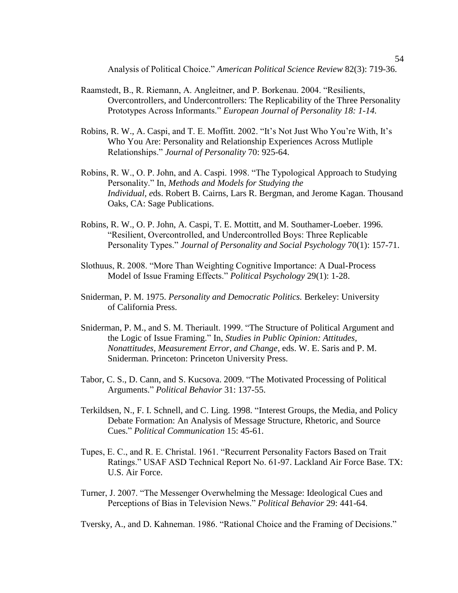Analysis of Political Choice." *American Political Science Review* 82(3): 719-36.

- Raamstedt, B., R. Riemann, A. Angleitner, and P. Borkenau. 2004. "Resilients, Overcontrollers, and Undercontrollers: The Replicability of the Three Personality Prototypes Across Informants." *European Journal of Personality 18: 1-14.*
- Robins, R. W., A. Caspi, and T. E. Moffitt. 2002. "It's Not Just Who You're With, It's Who You Are: Personality and Relationship Experiences Across Mutliple Relationships." *Journal of Personality* 70: 925-64.
- Robins, R. W., O. P. John, and A. Caspi. 1998. "The Typological Approach to Studying Personality." In, *Methods and Models for Studying the Individual, e*ds. Robert B. Cairns, Lars R. Bergman, and Jerome Kagan. Thousand Oaks, CA: Sage Publications.
- Robins, R. W., O. P. John, A. Caspi, T. E. Mottitt, and M. Southamer-Loeber. 1996. "Resilient, Overcontrolled, and Undercontrolled Boys: Three Replicable Personality Types." *Journal of Personality and Social Psychology* 70(1): 157-71.
- Slothuus, R. 2008. "More Than Weighting Cognitive Importance: A Dual-Process Model of Issue Framing Effects." *Political Psychology* 29(1): 1-28.
- Sniderman, P. M. 1975. *Personality and Democratic Politics.* Berkeley: University of California Press.
- Sniderman, P. M., and S. M. Theriault. 1999. "The Structure of Political Argument and the Logic of Issue Framing." In, *Studies in Public Opinion: Attitudes, Nonattitudes, Measurement Error, and Change*, eds. W. E. Saris and P. M. Sniderman. Princeton: Princeton University Press.
- Tabor, C. S., D. Cann, and S. Kucsova. 2009. "The Motivated Processing of Political Arguments." *Political Behavior* 31: 137-55.
- Terkildsen, N., F. I. Schnell, and C. Ling. 1998. "Interest Groups, the Media, and Policy Debate Formation: An Analysis of Message Structure, Rhetoric, and Source Cues." *Political Communication* 15: 45-61.
- Tupes, E. C., and R. E. Christal. 1961. "Recurrent Personality Factors Based on Trait Ratings." USAF ASD Technical Report No. 61-97. Lackland Air Force Base. TX: U.S. Air Force.
- Turner, J. 2007. "The Messenger Overwhelming the Message: Ideological Cues and Perceptions of Bias in Television News." *Political Behavior* 29: 441-64.

Tversky, A., and D. Kahneman. 1986. "Rational Choice and the Framing of Decisions."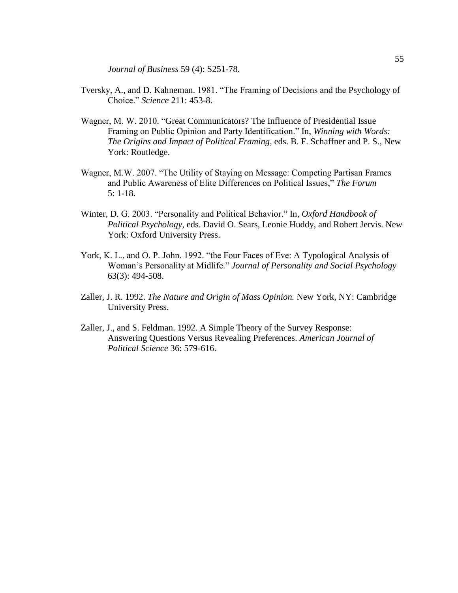*Journal of Business* 59 (4): S251-78.

- Tversky, A., and D. Kahneman. 1981. "The Framing of Decisions and the Psychology of Choice." *Science* 211: 453-8.
- Wagner, M. W. 2010. "Great Communicators? The Influence of Presidential Issue Framing on Public Opinion and Party Identification." In, *Winning with Words: The Origins and Impact of Political Framing*, eds. B. F. Schaffner and P. S., New York: Routledge.
- Wagner, M.W. 2007. "The Utility of Staying on Message: Competing Partisan Frames and Public Awareness of Elite Differences on Political Issues," *The Forum* 5: 1-18.
- Winter, D. G. 2003. "Personality and Political Behavior." In, *Oxford Handbook of Political Psychology,* eds. David O. Sears, Leonie Huddy, and Robert Jervis. New York: Oxford University Press.
- York, K. L., and O. P. John. 1992. "the Four Faces of Eve: A Typological Analysis of Woman"s Personality at Midlife." *Journal of Personality and Social Psychology* 63(3): 494-508.
- Zaller, J. R. 1992. *The Nature and Origin of Mass Opinion.* New York, NY: Cambridge University Press.
- Zaller, J., and S. Feldman. 1992. A Simple Theory of the Survey Response: Answering Questions Versus Revealing Preferences. *American Journal of Political Science* 36: 579-616.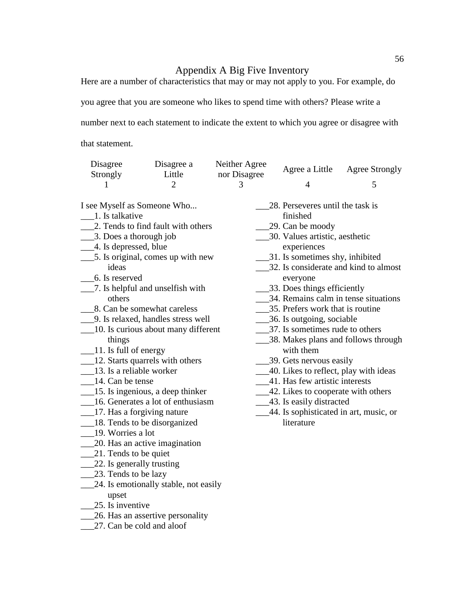## Appendix A Big Five Inventory

Here are a number of characteristics that may or may not apply to you. For example, do

you agree that you are someone who likes to spend time with others? Please write a

number next to each statement to indicate the extent to which you agree or disagree with

that statement.

| Disagree<br>Strongly        | Disagree a<br>Little | Neither Agree<br>nor Disagree | Agree a Little                   | Agree Strongly |
|-----------------------------|----------------------|-------------------------------|----------------------------------|----------------|
|                             |                      |                               |                                  |                |
| I see Myself as Someone Who |                      |                               | 28. Perseveres until the task is |                |

- <sub>\_\_\_\_</sub>1. Is talkative
- \_\_\_2. Tends to find fault with others
- \_\_\_3. Does a thorough job
- \_\_\_4. Is depressed, blue
- \_\_\_5. Is original, comes up with new ideas
- \_\_\_6. Is reserved
- \_\_\_7. Is helpful and unselfish with others
- \_\_\_8. Can be somewhat careless
- \_\_\_9. Is relaxed, handles stress well
- \_\_\_10. Is curious about many different things
- $\frac{11}{1}$ . Is full of energy
- \_\_\_12. Starts quarrels with others
- \_\_\_13. Is a reliable worker
- \_\_\_14. Can be tense
- \_\_\_15. Is ingenious, a deep thinker
- \_\_\_16. Generates a lot of enthusiasm
- \_\_\_17. Has a forgiving nature
- \_\_\_18. Tends to be disorganized
- \_\_\_19. Worries a lot
- \_\_\_20. Has an active imagination
- \_\_\_21. Tends to be quiet
- 22. Is generally trusting
- \_\_\_\_\_\_23. Tends to be lazy
- \_\_\_24. Is emotionally stable, not easily upset
- \_\_\_25. Is inventive
- \_\_\_26. Has an assertive personality
- \_\_\_27. Can be cold and aloof
- finished
- \_\_\_29. Can be moody
- \_\_\_30. Values artistic, aesthetic experiences
- \_\_\_31. Is sometimes shy, inhibited
- \_\_\_32. Is considerate and kind to almost everyone
- \_\_\_33. Does things efficiently
- \_\_\_34. Remains calm in tense situations
- \_\_\_35. Prefers work that is routine
- \_\_\_36. Is outgoing, sociable
- \_\_\_37. Is sometimes rude to others
- \_\_\_38. Makes plans and follows through with them
- \_\_\_39. Gets nervous easily
- \_\_\_40. Likes to reflect, play with ideas
- \_\_\_41. Has few artistic interests
- \_\_\_42. Likes to cooperate with others
- \_\_\_43. Is easily distracted
	- \_\_\_44. Is sophisticated in art, music, or literature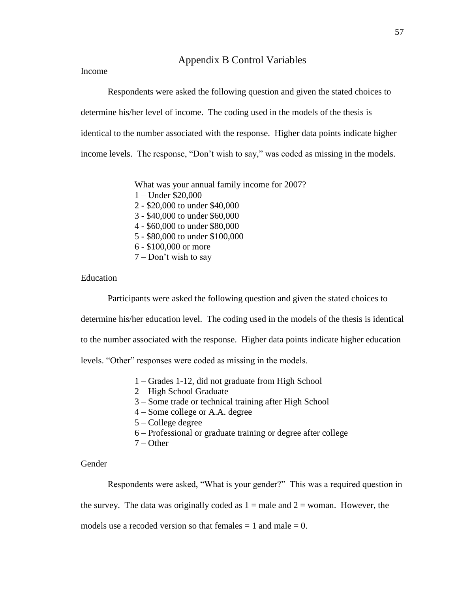## Appendix B Control Variables

Income

Respondents were asked the following question and given the stated choices to determine his/her level of income. The coding used in the models of the thesis is identical to the number associated with the response. Higher data points indicate higher income levels. The response, "Don"t wish to say," was coded as missing in the models.

> What was your annual family income for 2007? 1 – Under \$20,000 2 - \$20,000 to under \$40,000 3 - \$40,000 to under \$60,000 4 - \$60,000 to under \$80,000 5 - \$80,000 to under \$100,000 6 - \$100,000 or more 7 – Don"t wish to say

## Education

Participants were asked the following question and given the stated choices to determine his/her education level. The coding used in the models of the thesis is identical to the number associated with the response. Higher data points indicate higher education levels. "Other" responses were coded as missing in the models.

- 1 Grades 1-12, did not graduate from High School
- 2 High School Graduate
- 3 Some trade or technical training after High School
- 4 Some college or A.A. degree
- 5 College degree
- 6 Professional or graduate training or degree after college
- $7 -$ Other

Gender

Respondents were asked, "What is your gender?" This was a required question in

the survey. The data was originally coded as  $1 =$  male and  $2 =$  woman. However, the

models use a recoded version so that females  $= 1$  and male  $= 0$ .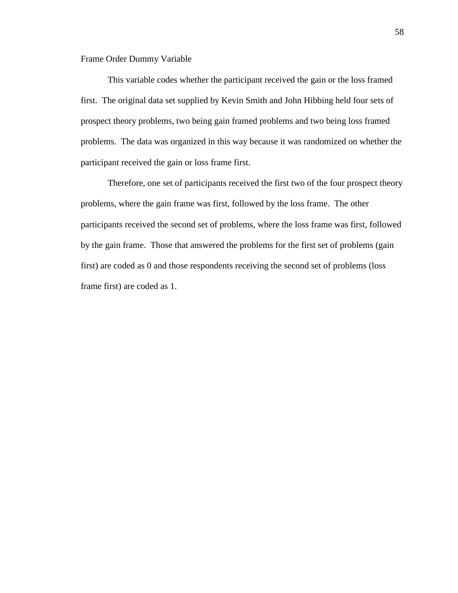Frame Order Dummy Variable

This variable codes whether the participant received the gain or the loss framed first. The original data set supplied by Kevin Smith and John Hibbing held four sets of prospect theory problems, two being gain framed problems and two being loss framed problems. The data was organized in this way because it was randomized on whether the participant received the gain or loss frame first.

Therefore, one set of participants received the first two of the four prospect theory problems, where the gain frame was first, followed by the loss frame. The other participants received the second set of problems, where the loss frame was first, followed by the gain frame. Those that answered the problems for the first set of problems (gain first) are coded as 0 and those respondents receiving the second set of problems (loss frame first) are coded as 1.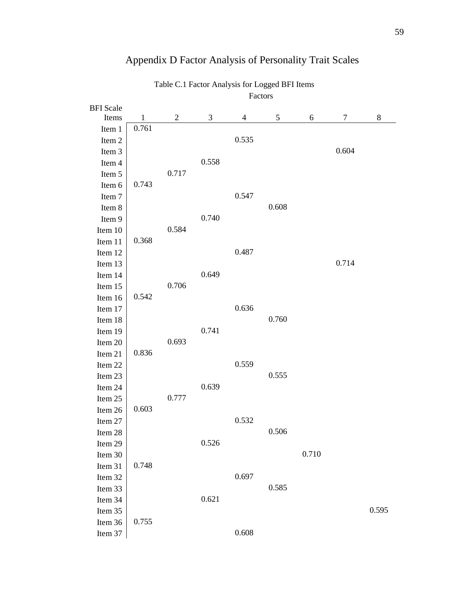|                  |              |                |       |                | r actors |       |        |       |
|------------------|--------------|----------------|-------|----------------|----------|-------|--------|-------|
| <b>BFI</b> Scale |              |                |       |                |          |       |        |       |
| Items            | $\mathbf{1}$ | $\overline{2}$ | 3     | $\overline{4}$ | 5        | 6     | $\tau$ | 8     |
| Item 1           | 0.761        |                |       |                |          |       |        |       |
| Item 2           |              |                |       | 0.535          |          |       |        |       |
| Item 3           |              |                |       |                |          |       | 0.604  |       |
| Item 4           |              |                | 0.558 |                |          |       |        |       |
| Item 5           |              | 0.717          |       |                |          |       |        |       |
| Item 6           | 0.743        |                |       |                |          |       |        |       |
| Item 7           |              |                |       | 0.547          |          |       |        |       |
| Item 8           |              |                |       |                | 0.608    |       |        |       |
| Item 9           |              |                | 0.740 |                |          |       |        |       |
| Item 10          |              | 0.584          |       |                |          |       |        |       |
| Item 11          | 0.368        |                |       |                |          |       |        |       |
| Item 12          |              |                |       | 0.487          |          |       |        |       |
| Item 13          |              |                |       |                |          |       | 0.714  |       |
| Item 14          |              |                | 0.649 |                |          |       |        |       |
| Item 15          |              | 0.706          |       |                |          |       |        |       |
| Item 16          | 0.542        |                |       |                |          |       |        |       |
| Item 17          |              |                |       | 0.636          |          |       |        |       |
| Item 18          |              |                |       |                | 0.760    |       |        |       |
| Item 19          |              |                | 0.741 |                |          |       |        |       |
| Item 20          |              | 0.693          |       |                |          |       |        |       |
| Item 21          | 0.836        |                |       |                |          |       |        |       |
| Item 22          |              |                |       | 0.559          |          |       |        |       |
| Item 23          |              |                |       |                | 0.555    |       |        |       |
| Item 24          |              |                | 0.639 |                |          |       |        |       |
| Item 25          |              | 0.777          |       |                |          |       |        |       |
| Item 26          | 0.603        |                |       |                |          |       |        |       |
| Item 27          |              |                |       | 0.532          |          |       |        |       |
| Item 28          |              |                |       |                | 0.506    |       |        |       |
| Item 29          |              |                | 0.526 |                |          |       |        |       |
| Item 30          |              |                |       |                |          | 0.710 |        |       |
| Item 31          | 0.748        |                |       |                |          |       |        |       |
| Item 32          |              |                |       | 0.697          |          |       |        |       |
| Item 33          |              |                |       |                | 0.585    |       |        |       |
| Item 34          |              |                | 0.621 |                |          |       |        |       |
| Item 35          |              |                |       |                |          |       |        | 0.595 |
| Item 36          | 0.755        |                |       |                |          |       |        |       |
| Item 37          |              |                |       | 0.608          |          |       |        |       |
|                  |              |                |       |                |          |       |        |       |

# Appendix D Factor Analysis of Personality Trait Scales

Table C.1 Factor Analysis for Logged BFI Items Factors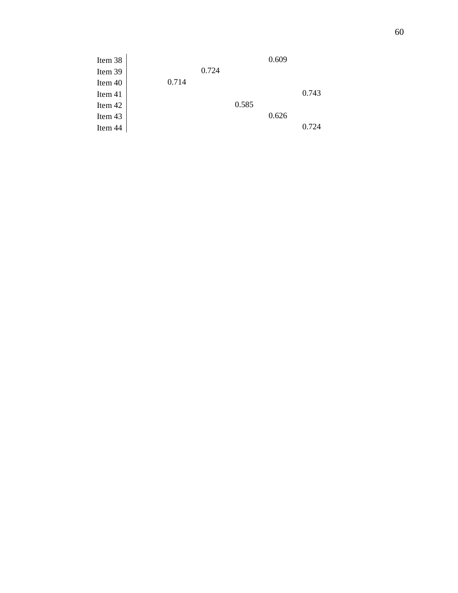| Item 38 |       |       |       | 0.609 |       |
|---------|-------|-------|-------|-------|-------|
| Item 39 |       | 0.724 |       |       |       |
| Item 40 | 0.714 |       |       |       |       |
| Item 41 |       |       |       |       | 0.743 |
| Item 42 |       |       | 0.585 |       |       |
| Item 43 |       |       |       | 0.626 |       |
| Item 44 |       |       |       |       | 0.724 |